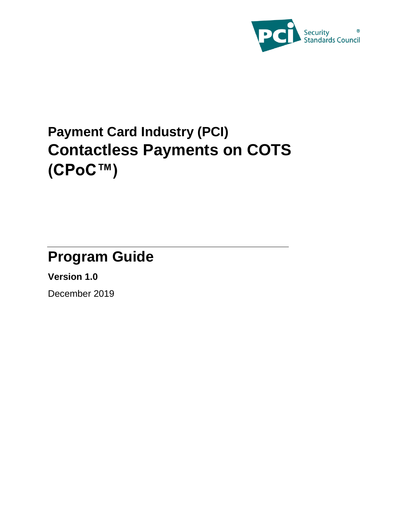

# **Payment Card Industry (PCI) Contactless Payments on COTS (CPoC™)**

# **Program Guide**

**Version 1.0**

December 2019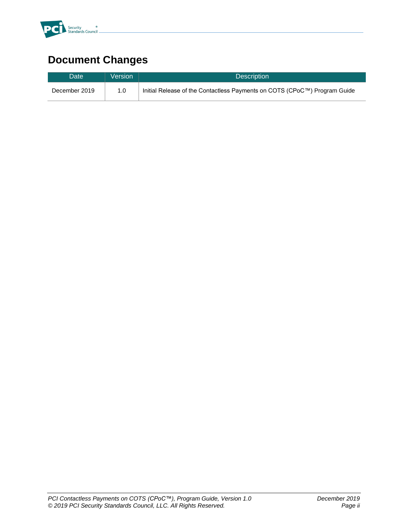

# **Document Changes**

| Date <sup>'</sup> | Version | Description <sup>1</sup>                                                  |
|-------------------|---------|---------------------------------------------------------------------------|
| December 2019     | 1.0     | Initial Release of the Contactless Payments on COTS (CPoC™) Program Guide |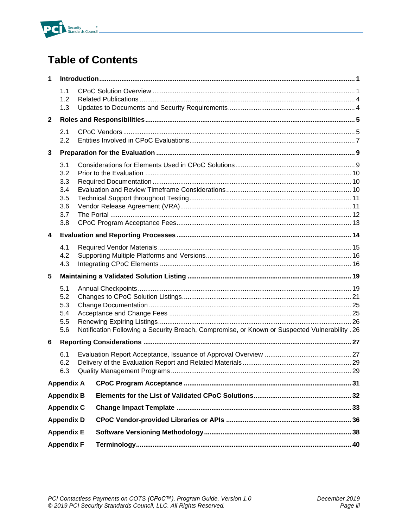

# **Table of Contents**

| 1                                      |                                                      |                                                                                                |  |  |
|----------------------------------------|------------------------------------------------------|------------------------------------------------------------------------------------------------|--|--|
|                                        | 1.1<br>1.2<br>1.3                                    |                                                                                                |  |  |
| $\mathbf{2}$                           |                                                      |                                                                                                |  |  |
|                                        | 2.1<br>2.2                                           |                                                                                                |  |  |
| 3                                      |                                                      |                                                                                                |  |  |
|                                        | 3.1<br>3.2<br>3.3<br>3.4<br>3.5<br>3.6<br>3.7<br>3.8 |                                                                                                |  |  |
| $\overline{\mathbf{4}}$                |                                                      |                                                                                                |  |  |
|                                        | 4.1<br>4.2<br>4.3                                    |                                                                                                |  |  |
| 5                                      |                                                      |                                                                                                |  |  |
| 5.1<br>5.2<br>5.3<br>5.4<br>5.5<br>5.6 |                                                      | Notification Following a Security Breach, Compromise, or Known or Suspected Vulnerability . 26 |  |  |
| 6                                      |                                                      |                                                                                                |  |  |
| 6.1<br>6.2<br>6.3                      |                                                      |                                                                                                |  |  |
|                                        | <b>Appendix A</b>                                    |                                                                                                |  |  |
|                                        | <b>Appendix B</b>                                    |                                                                                                |  |  |
|                                        | <b>Appendix C</b>                                    |                                                                                                |  |  |
|                                        | <b>Appendix D</b>                                    |                                                                                                |  |  |
|                                        | <b>Appendix E</b>                                    |                                                                                                |  |  |
| <b>Appendix F</b>                      |                                                      |                                                                                                |  |  |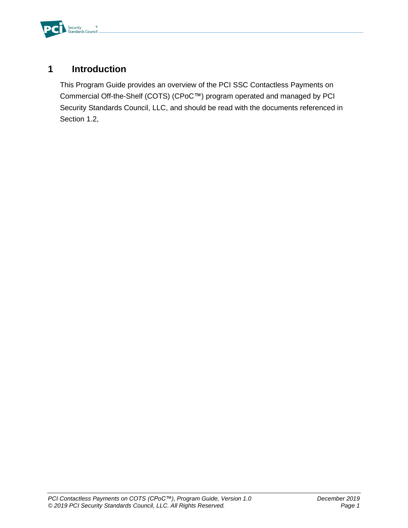

### <span id="page-3-0"></span>**1 Introduction**

This Program Guide provides an overview of the PCI SSC Contactless Payments on Commercial Off-the-Shelf (COTS) (CPoC™) program operated and managed by PCI Security Standards Council, LLC, and should be read with the documents referenced in Section 1.2,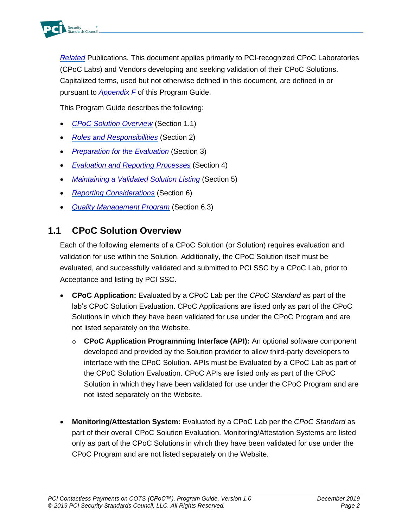

*Related* [Publications.](#page-6-0) This document applies primarily to PCI-recognized CPoC Laboratories (CPoC Labs) and Vendors developing and seeking validation of their CPoC Solutions. Capitalized terms, used but not otherwise defined in this document, are defined in or pursuant to *[Appendix F](#page-43-0)* of this Program Guide.

This Program Guide describes the following:

- *CPoC [Solution Overview](#page-4-0)* (Section [1.1\)](#page-4-0)
- *[Roles and Responsibilities](#page-8-0)* (Section [2\)](#page-8-0)
- *[Preparation for the Evaluation](#page-12-0)* (Section [3\)](#page-12-0)
- *[Evaluation and Reporting Processes](#page-17-0)* (Section [4\)](#page-17-0)
- *Maintaining [a Validated Solution](#page-22-0) Listing* (Section [5\)](#page-22-0)
- *Reporting [Considerations](#page-30-0)* (Section [6\)](#page-30-0)
- *[Quality Management Program](#page-32-1)* (Section [6.3\)](#page-32-1)

#### <span id="page-4-0"></span>**1.1 CPoC Solution Overview**

Each of the following elements of a CPoC Solution (or Solution) requires evaluation and validation for use within the Solution. Additionally, the CPoC Solution itself must be evaluated, and successfully validated and submitted to PCI SSC by a CPoC Lab, prior to Acceptance and listing by PCI SSC.

- **CPoC Application:** Evaluated by a CPoC Lab per the *CPoC Standard* as part of the lab's CPoC Solution Evaluation. CPoC Applications are listed only as part of the CPoC Solutions in which they have been validated for use under the CPoC Program and are not listed separately on the Website.
	- o **CPoC Application Programming Interface (API):** An optional software component developed and provided by the Solution provider to allow third-party developers to interface with the CPoC Solution. APIs must be Evaluated by a CPoC Lab as part of the CPoC Solution Evaluation. CPoC APIs are listed only as part of the CPoC Solution in which they have been validated for use under the CPoC Program and are not listed separately on the Website.
- **Monitoring/Attestation System:** Evaluated by a CPoC Lab per the *CPoC Standard* as part of their overall CPoC Solution Evaluation. Monitoring/Attestation Systems are listed only as part of the CPoC Solutions in which they have been validated for use under the CPoC Program and are not listed separately on the Website.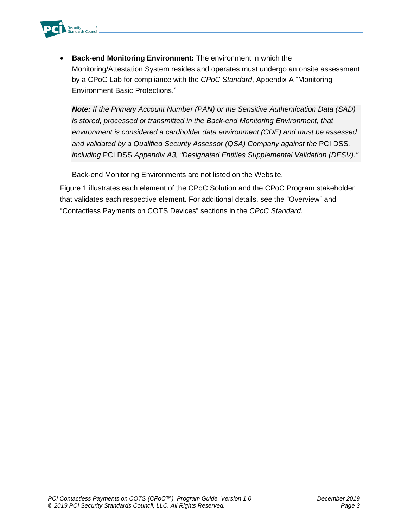

• **Back-end Monitoring Environment:** The environment in which the Monitoring/Attestation System resides and operates must undergo an onsite assessment by a CPoC Lab for compliance with the *CPoC Standard*, Appendix A "Monitoring Environment Basic Protections."

*Note: If the Primary Account Number (PAN) or the Sensitive Authentication Data (SAD) is stored, processed or transmitted in the Back-end Monitoring Environment, that environment is considered a cardholder data environment (CDE) and must be assessed and validated by a Qualified Security Assessor (QSA) Company against the* PCI DSS*, including* PCI DSS *Appendix A3, "Designated Entities Supplemental Validation (DESV)."*

Back-end Monitoring Environments are not listed on the Website.

[Figure 1](#page-6-1) illustrates each element of the CPoC Solution and the CPoC Program stakeholder that validates each respective element. For additional details, see the "Overview" and "Contactless Payments on COTS Devices" sections in the *CPoC Standard*.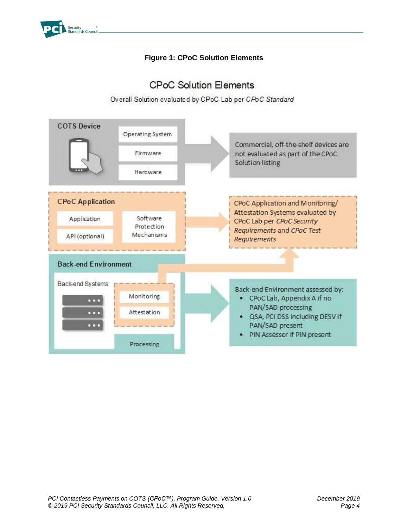<span id="page-6-1"></span>

#### **Figure 1: CPoC Solution Elements**

### **CPoC Solution Elements**

Overall Solution evaluated by CPoC Lab per CPoC Standard

<span id="page-6-0"></span>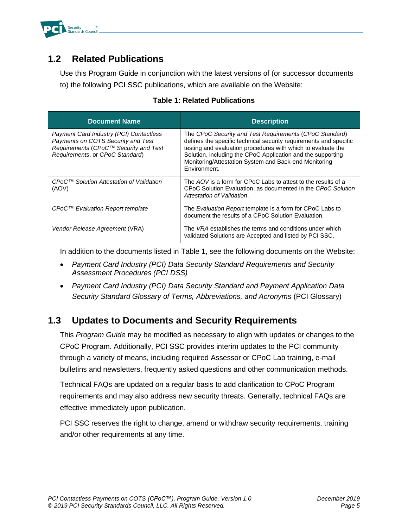

### <span id="page-7-0"></span>**1.2 Related Publications**

Use this Program Guide in conjunction with the latest versions of (or successor documents to) the following PCI SSC publications, which are available on the Website:

<span id="page-7-2"></span>

| <b>Document Name</b>                                                                                                                                      | <b>Description</b>                                                                                                                                                                                                                                                                                                                   |
|-----------------------------------------------------------------------------------------------------------------------------------------------------------|--------------------------------------------------------------------------------------------------------------------------------------------------------------------------------------------------------------------------------------------------------------------------------------------------------------------------------------|
| Payment Card Industry (PCI) Contactless<br>Payments on COTS Security and Test<br>Requirements (CPoC™ Security and Test<br>Requirements, or CPoC Standard) | The CPoC Security and Test Requirements (CPoC Standard)<br>defines the specific technical security requirements and specific<br>testing and evaluation procedures with which to evaluate the<br>Solution, including the CPoC Application and the supporting<br>Monitoring/Attestation System and Back-end Monitoring<br>Environment. |
| CPoC™ Solution Attestation of Validation<br>(AOV)                                                                                                         | The AOV is a form for CPoC Labs to attest to the results of a<br>CPoC Solution Evaluation, as documented in the CPoC Solution<br>Attestation of Validation.                                                                                                                                                                          |
| CPoC™ Evaluation Report template                                                                                                                          | The <i>Evaluation Report</i> template is a form for CPoC Labs to<br>document the results of a CPoC Solution Evaluation.                                                                                                                                                                                                              |
| Vendor Release Agreement (VRA)                                                                                                                            | The VRA establishes the terms and conditions under which<br>validated Solutions are Accepted and listed by PCI SSC.                                                                                                                                                                                                                  |

#### **Table 1: Related Publications**

In addition to the documents listed in [Table 1,](#page-7-2) see the following documents on the Website:

- *Payment Card Industry (PCI) Data Security Standard Requirements and Security Assessment Procedures (PCI DSS)*
- *Payment Card Industry (PCI) Data Security Standard and Payment Application Data Security Standard Glossary of Terms, Abbreviations, and Acronyms* (PCI Glossary)

### <span id="page-7-1"></span>**1.3 Updates to Documents and Security Requirements**

This *Program Guide* may be modified as necessary to align with updates or changes to the CPoC Program. Additionally, PCI SSC provides interim updates to the PCI community through a variety of means, including required Assessor or CPoC Lab training, e-mail bulletins and newsletters, frequently asked questions and other communication methods.

Technical FAQs are updated on a regular basis to add clarification to CPoC Program requirements and may also address new security threats. Generally, technical FAQs are effective immediately upon publication.

PCI SSC reserves the right to change, amend or withdraw security requirements, training and/or other requirements at any time.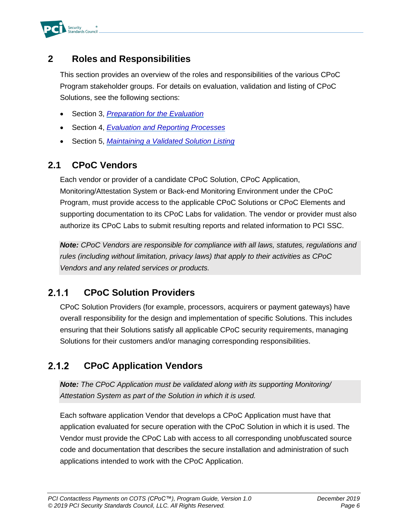

### <span id="page-8-0"></span>**2 Roles and Responsibilities**

This section provides an overview of the roles and responsibilities of the various CPoC Program stakeholder groups. For details on evaluation, validation and listing of CPoC Solutions, see the following sections:

- Section [3,](#page-12-0) *[Preparation for the Evaluation](#page-12-0)*
- Section [4,](#page-17-0) *[Evaluation and Reporting Processes](#page-17-0)*
- Section [5,](#page-22-0) *Maintaining [a Validated Solution](#page-22-0) Listing*

#### <span id="page-8-1"></span>**2.1 CPoC Vendors**

Each vendor or provider of a candidate CPoC Solution, CPoC Application, Monitoring/Attestation System or Back-end Monitoring Environment under the CPoC Program, must provide access to the applicable CPoC Solutions or CPoC Elements and supporting documentation to its CPoC Labs for validation. The vendor or provider must also authorize its CPoC Labs to submit resulting reports and related information to PCI SSC.

*Note: CPoC Vendors are responsible for compliance with all laws, statutes, regulations and rules (including without limitation, privacy laws) that apply to their activities as CPoC Vendors and any related services or products.*

#### $2.1.1$ **CPoC Solution Providers**

CPoC Solution Providers (for example, processors, acquirers or payment gateways) have overall responsibility for the design and implementation of specific Solutions. This includes ensuring that their Solutions satisfy all applicable CPoC security requirements, managing Solutions for their customers and/or managing corresponding responsibilities.

#### $2.1.2$ **CPoC Application Vendors**

*Note: The CPoC Application must be validated along with its supporting Monitoring/ Attestation System as part of the Solution in which it is used.*

Each software application Vendor that develops a CPoC Application must have that application evaluated for secure operation with the CPoC Solution in which it is used. The Vendor must provide the CPoC Lab with access to all corresponding unobfuscated source code and documentation that describes the secure installation and administration of such applications intended to work with the CPoC Application.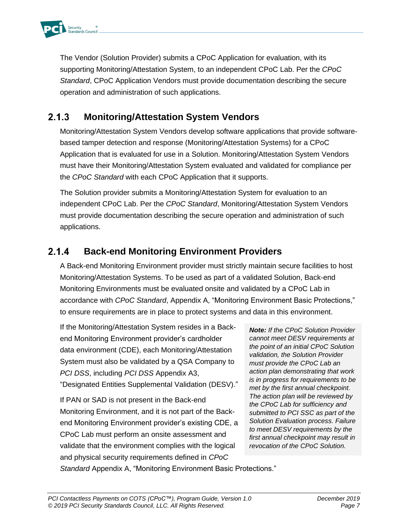

The Vendor (Solution Provider) submits a CPoC Application for evaluation, with its supporting Monitoring/Attestation System, to an independent CPoC Lab. Per the *CPoC Standard*, CPoC Application Vendors must provide documentation describing the secure operation and administration of such applications.

#### $2.1.3$ **Monitoring/Attestation System Vendors**

Monitoring/Attestation System Vendors develop software applications that provide softwarebased tamper detection and response (Monitoring/Attestation Systems) for a CPoC Application that is evaluated for use in a Solution. Monitoring/Attestation System Vendors must have their Monitoring/Attestation System evaluated and validated for compliance per the *CPoC Standard* with each CPoC Application that it supports.

The Solution provider submits a Monitoring/Attestation System for evaluation to an independent CPoC Lab. Per the *CPoC Standard*, Monitoring/Attestation System Vendors must provide documentation describing the secure operation and administration of such applications.

#### $2.1.4$ **Back-end Monitoring Environment Providers**

A Back-end Monitoring Environment provider must strictly maintain secure facilities to host Monitoring/Attestation Systems. To be used as part of a validated Solution, Back-end Monitoring Environments must be evaluated onsite and validated by a CPoC Lab in accordance with *CPoC Standard*, Appendix A, "Monitoring Environment Basic Protections," to ensure requirements are in place to protect systems and data in this environment.

If the Monitoring/Attestation System resides in a Backend Monitoring Environment provider's cardholder data environment (CDE), each Monitoring/Attestation System must also be validated by a QSA Company to *PCI DSS*, including *PCI DSS* Appendix A3, "Designated Entities Supplemental Validation (DESV)."

If PAN or SAD is not present in the Back-end Monitoring Environment, and it is not part of the Backend Monitoring Environment provider's existing CDE, a CPoC Lab must perform an onsite assessment and validate that the environment complies with the logical and physical security requirements defined in *CPoC* 

*Note: If the CPoC Solution Provider cannot meet DESV requirements at the point of an initial CPoC Solution validation, the Solution Provider must provide the CPoC Lab an action plan demonstrating that work is in progress for requirements to be met by the first annual checkpoint. The action plan will be reviewed by the CPoC Lab for sufficiency and submitted to PCI SSC as part of the Solution Evaluation process. Failure to meet DESV requirements by the first annual checkpoint may result in revocation of the CPoC Solution.*

*Standard* Appendix A, "Monitoring Environment Basic Protections."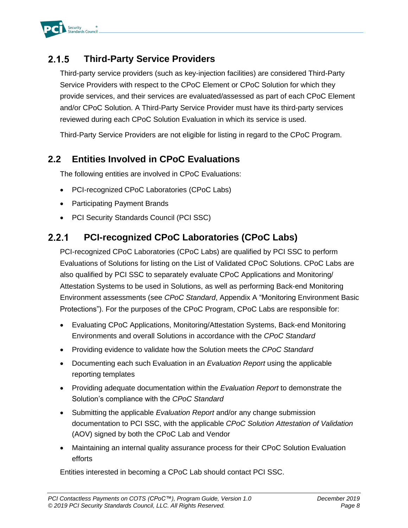

#### $2.1.5$ **Third-Party Service Providers**

Third-party service providers (such as key-injection facilities) are considered Third-Party Service Providers with respect to the CPoC Element or CPoC Solution for which they provide services, and their services are evaluated/assessed as part of each CPoC Element and/or CPoC Solution. A Third-Party Service Provider must have its third-party services reviewed during each CPoC Solution Evaluation in which its service is used.

Third-Party Service Providers are not eligible for listing in regard to the CPoC Program.

### <span id="page-10-0"></span>**2.2 Entities Involved in CPoC Evaluations**

The following entities are involved in CPoC Evaluations:

- [PCI-recognized CPoC](#page-10-1) Laboratories (CPoC Labs)
- [Participating Payment Brands](#page-11-0)
- [PCI Security Standards Council](#page-11-1) (PCI SSC)

#### <span id="page-10-1"></span>**PCI-recognized CPoC Laboratories (CPoC Labs)**  $2.2.1$

PCI-recognized CPoC Laboratories (CPoC Labs) are qualified by PCI SSC to perform Evaluations of Solutions for listing on the List of Validated CPoC Solutions. CPoC Labs are also qualified by PCI SSC to separately evaluate CPoC Applications and Monitoring/ Attestation Systems to be used in Solutions, as well as performing Back-end Monitoring Environment assessments (see *CPoC Standard*, Appendix A "Monitoring Environment Basic Protections"). For the purposes of the CPoC Program, CPoC Labs are responsible for:

- Evaluating CPoC Applications, Monitoring/Attestation Systems, Back-end Monitoring Environments and overall Solutions in accordance with the *CPoC Standard*
- Providing evidence to validate how the Solution meets the *CPoC Standard*
- Documenting each such Evaluation in an *Evaluation Report* using the applicable reporting templates
- Providing adequate documentation within the *Evaluation Report* to demonstrate the Solution's compliance with the *CPoC Standard*
- Submitting the applicable *Evaluation Report* and/or any change submission documentation to PCI SSC, with the applicable *CPoC Solution Attestation of Validation* (AOV) signed by both the CPoC Lab and Vendor
- Maintaining an internal quality assurance process for their CPoC Solution Evaluation efforts

Entities interested in becoming a CPoC Lab should contact PCI SSC.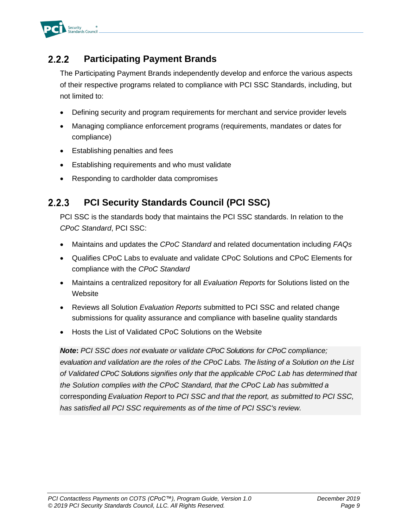

#### <span id="page-11-0"></span> $2.2.2$ **Participating Payment Brands**

The Participating Payment Brands independently develop and enforce the various aspects of their respective programs related to compliance with PCI SSC Standards, including, but not limited to:

- Defining security and program requirements for merchant and service provider levels
- Managing compliance enforcement programs (requirements, mandates or dates for compliance)
- Establishing penalties and fees
- Establishing requirements and who must validate
- Responding to cardholder data compromises

#### <span id="page-11-1"></span> $2.2.3$ **PCI Security Standards Council (PCI SSC)**

PCI SSC is the standards body that maintains the PCI SSC standards. In relation to the *CPoC Standard*, PCI SSC:

- Maintains and updates the *CPoC Standard* and related documentation including *FAQs*
- Qualifies CPoC Labs to evaluate and validate CPoC Solutions and CPoC Elements for compliance with the *CPoC Standard*
- Maintains a centralized repository for all *Evaluation Reports* for Solutions listed on the **Website**
- Reviews all Solution *Evaluation Reports* submitted to PCI SSC and related change submissions for quality assurance and compliance with baseline quality standards
- Hosts the List of Validated CPoC Solutions on the Website

*Note***:** *PCI SSC does not evaluate or validate CPoC Solutions for CPoC compliance; evaluation and validation are the roles of the CPoC Labs. The listing of a Solution on the List of Validated CPoC Solutions signifies only that the applicable CPoC Lab has determined that the Solution complies with the CPoC Standard, that the CPoC Lab has submitted a*  corresponding *Evaluation Report* to *PCI SSC and that the report, as submitted to PCI SSC, has satisfied all PCI SSC requirements as of the time of PCI SSC's review.*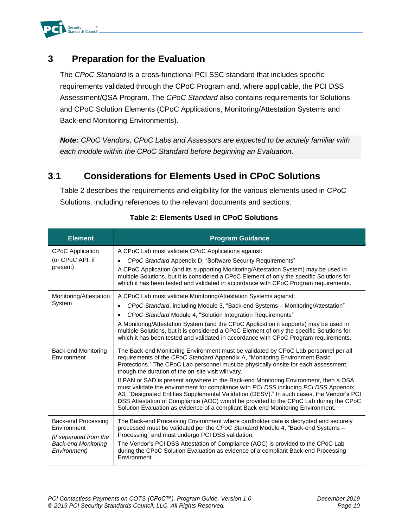

#### <span id="page-12-0"></span>**3 Preparation for the Evaluation**

The *CPoC Standard* is a cross-functional PCI SSC standard that includes specific requirements validated through the CPoC Program and, where applicable, the PCI DSS Assessment/QSA Program. The *CPoC Standard* also contains requirements for Solutions and CPoC Solution Elements (CPoC Applications, Monitoring/Attestation Systems and Back-end Monitoring Environments).

*Note: CPoC Vendors, CPoC Labs and Assessors are expected to be acutely familiar with each module within the CPoC Standard before beginning an Evaluation*.

#### <span id="page-12-1"></span>**3.1 Considerations for Elements Used in CPoC Solutions**

[Table 2](#page-12-2) describes the requirements and eligibility for the various elements used in CPoC Solutions, including references to the relevant documents and sections:

<span id="page-12-2"></span>

| <b>Element</b>                                                                                             | <b>Program Guidance</b>                                                                                                                                                                                                                                                                                                                                                                                                                                                                                                                                                                                                                                                                                                                                                   |
|------------------------------------------------------------------------------------------------------------|---------------------------------------------------------------------------------------------------------------------------------------------------------------------------------------------------------------------------------------------------------------------------------------------------------------------------------------------------------------------------------------------------------------------------------------------------------------------------------------------------------------------------------------------------------------------------------------------------------------------------------------------------------------------------------------------------------------------------------------------------------------------------|
| <b>CPoC Application</b><br>(or CPoC API, if<br>present)                                                    | A CPoC Lab must validate CPoC Applications against:<br>CPoC Standard Appendix D, "Software Security Requirements"<br>A CPoC Application (and its supporting Monitoring/Attestation System) may be used in<br>multiple Solutions, but it is considered a CPoC Element of only the specific Solutions for<br>which it has been tested and validated in accordance with CPoC Program requirements.                                                                                                                                                                                                                                                                                                                                                                           |
| Monitoring/Attestation<br>System                                                                           | A CPoC Lab must validate Monitoring/Attestation Systems against:<br>CPoC Standard, including Module 3, "Back-end Systems - Monitoring/Attestation"<br>$\bullet$<br>CPoC Standard Module 4, "Solution Integration Requirements"<br>A Monitoring/Attestation System (and the CPoC Application it supports) may be used in<br>multiple Solutions, but it is considered a CPoC Element of only the specific Solutions for<br>which it has been tested and validated in accordance with CPoC Program requirements.                                                                                                                                                                                                                                                             |
| <b>Back-end Monitoring</b><br>Environment                                                                  | The Back-end Monitoring Environment must be validated by CPoC Lab personnel per all<br>requirements of the CPoC Standard Appendix A, "Monitoring Environment Basic<br>Protections." The CPoC Lab personnel must be physically onsite for each assessment,<br>though the duration of the on-site visit will vary.<br>If PAN or SAD is present anywhere in the Back-end Monitoring Environment, then a QSA<br>must validate the environment for compliance with PCI DSS including PCI DSS Appendix<br>A3, "Designated Entities Supplemental Validation (DESV)." In such cases, the Vendor's PCI<br>DSS Attestation of Compliance (AOC) would be provided to the CPoC Lab during the CPoC<br>Solution Evaluation as evidence of a compliant Back-end Monitoring Environment. |
| Back-end Processing<br>Environment<br>(if separated from the<br><b>Back-end Monitoring</b><br>Environment) | The Back-end Processing Environment where cardholder data is decrypted and securely<br>processed must be validated per the CPoC Standard Module 4, "Back-end Systems -<br>Processing" and must undergo PCI DSS validation.<br>The Vendor's PCI DSS Attestation of Compliance (AOC) is provided to the CPoC Lab<br>during the CPoC Solution Evaluation as evidence of a compliant Back-end Processing<br>Environment.                                                                                                                                                                                                                                                                                                                                                      |

#### **Table 2: Elements Used in CPoC Solutions**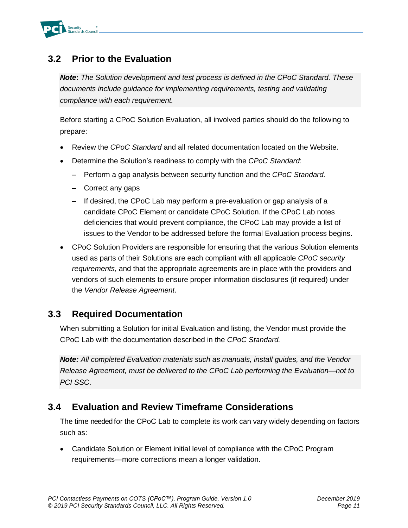

### <span id="page-13-0"></span>**3.2 Prior to the Evaluation**

*Note***:** *The Solution development and test process is defined in the CPoC Standard. These documents include guidance for implementing requirements, testing and validating compliance with each requirement.*

Before starting a CPoC Solution Evaluation, all involved parties should do the following to prepare:

- Review the *CPoC Standard* and all related documentation located on [the](http://www.pcisecuritystandards.org/) Website.
- Determine the Solution's readiness to comply with the *CPoC Standard*:
	- Perform a gap analysis between security function and the *CPoC Standard.*
	- Correct any gaps
	- If desired, the CPoC Lab may perform a pre-evaluation or gap analysis of a candidate CPoC Element or candidate CPoC Solution. If the CPoC Lab notes deficiencies that would prevent compliance, the CPoC Lab may provide a list of issues to the Vendor to be addressed before the formal Evaluation process begins.
- CPoC Solution Providers are responsible for ensuring that the various Solution elements used as parts of their Solutions are each compliant with all applicable *CPoC security requirements*, and that the appropriate agreements are in place with the providers and vendors of such elements to ensure proper information disclosures (if required) under the *Vendor Release Agreement*.

### <span id="page-13-1"></span>**3.3 Required Documentation**

When submitting a Solution for initial Evaluation and listing, the Vendor must provide the CPoC Lab with the documentation described in the *CPoC Standard.*

*Note: All completed Evaluation materials such as manuals, install guides, and the Vendor Release Agreement, must be delivered to the CPoC Lab performing the Evaluation—not to PCI SSC*.

### <span id="page-13-2"></span>**3.4 Evaluation and Review Timeframe Considerations**

The time needed for the CPoC Lab to complete its work can vary widely depending on factors such as:

• Candidate Solution or Element initial level of compliance with the CPoC Program requirements—more corrections mean a longer validation.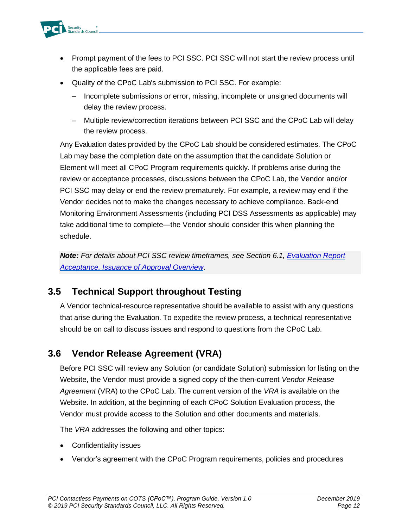

- Prompt payment of the fees to PCI SSC. PCI SSC will not start the review process until the applicable fees are paid.
- Quality of the CPoC Lab's submission to PCI SSC. For example:
	- Incomplete submissions or error, missing, incomplete or unsigned documents will delay the review process.
	- Multiple review/correction iterations between PCI SSC and the CPoC Lab will delay the review process.

Any Evaluation dates provided by the CPoC Lab should be considered estimates. The CPoC Lab may base the completion date on the assumption that the candidate Solution or Element will meet all CPoC Program requirements quickly. If problems arise during the review or acceptance processes, discussions between the CPoC Lab, the Vendor and/or PCI SSC may delay or end the review prematurely. For example, a review may end if the Vendor decides not to make the changes necessary to achieve compliance. Back-end Monitoring Environment Assessments (including PCI DSS Assessments as applicable) may take additional time to complete—the Vendor should consider this when planning the schedule.

*Note: For details about PCI SSC review timeframes, see Section [6.1, Evaluation Report](#page-30-1)  [Acceptance, Issuance of Approval](#page-30-1) Overview*.

### <span id="page-14-0"></span>**3.5 Technical Support throughout Testing**

A Vendor technical-resource representative should be available to assist with any questions that arise during the Evaluation. To expedite the review process, a technical representative should be on call to discuss issues and respond to questions from the CPoC Lab.

### <span id="page-14-1"></span>**3.6 Vendor Release Agreement (VRA)**

Before PCI SSC will review any Solution (or candidate Solution) submission for listing on the Website, the Vendor must provide a signed copy of the then-current *Vendor Release Agreement* (VRA) to the CPoC Lab. The current version of the *VRA* is available on the Website. In addition, at the beginning of each CPoC Solution Evaluation process, the Vendor must provide access to the Solution and other documents and materials.

The *VRA* addresses the following and other topics:

- Confidentiality issues
- Vendor's agreement with the CPoC Program requirements, policies and procedures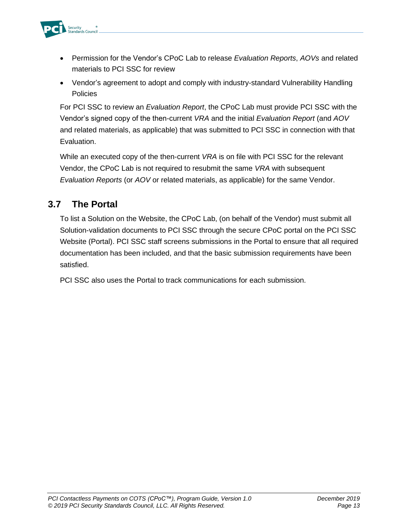

- Permission for the Vendor's CPoC Lab to release *Evaluation Reports*, *AOVs* and related materials to PCI SSC for review
- Vendor's agreement to adopt and comply with industry-standard Vulnerability Handling **Policies**

For PCI SSC to review an *Evaluation Report*, the CPoC Lab must provide PCI SSC with the Vendor's signed copy of the then-current *VRA* and the initial *Evaluation Report* (and *AOV* and related materials, as applicable) that was submitted to PCI SSC in connection with that Evaluation.

While an executed copy of the then-current *VRA* is on file with PCI SSC for the relevant Vendor, the CPoC Lab is not required to resubmit the same *VRA* with subsequent *Evaluation Reports* (or *AOV* or related materials, as applicable) for the same Vendor.

### <span id="page-15-0"></span>**3.7 The Portal**

To list a Solution on the Website, the CPoC Lab, (on behalf of the Vendor) must submit all Solution-validation documents to PCI SSC through the secure CPoC portal on the PCI SSC Website (Portal). PCI SSC staff screens submissions in the Portal to ensure that all required documentation has been included, and that the basic submission requirements have been satisfied.

PCI SSC also uses the Portal to track communications for each submission.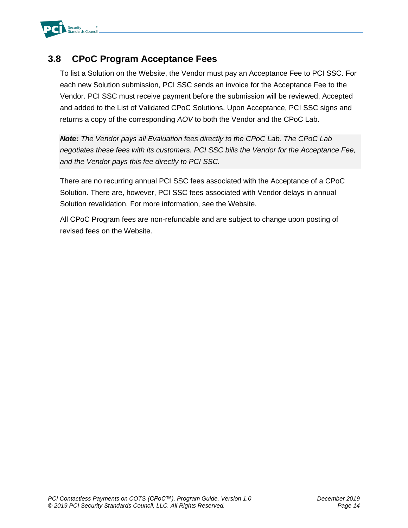

### <span id="page-16-0"></span>**3.8 CPoC Program Acceptance Fees**

To list a Solution on the Website, the Vendor must pay an Acceptance Fee to PCI SSC. For each new Solution submission, PCI SSC sends an invoice for the Acceptance Fee to the Vendor. PCI SSC must receive payment before the submission will be reviewed, Accepted and added to the List of Validated CPoC Solutions. Upon Acceptance, PCI SSC signs and returns a copy of the corresponding *AOV* to both the Vendor and the CPoC Lab.

*Note: The Vendor pays all Evaluation fees directly to the CPoC Lab. The CPoC Lab negotiates these fees with its customers. PCI SSC bills the Vendor for the Acceptance Fee, and the Vendor pays this fee directly to PCI SSC.*

There are no recurring annual PCI SSC fees associated with the Acceptance of a CPoC Solution. There are, however, PCI SSC fees associated with Vendor delays in annual Solution revalidation. For more information, see the Website.

All CPoC Program fees are non-refundable and are subject to change upon posting of revised fees on the Website.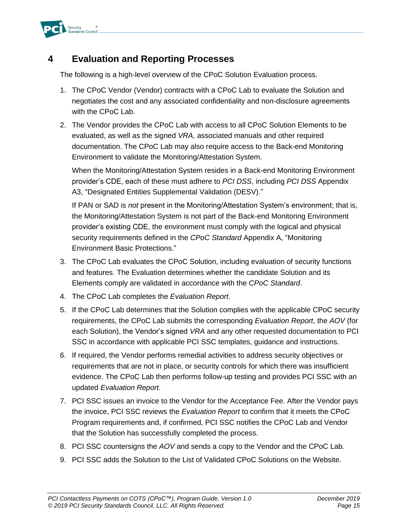

### <span id="page-17-0"></span>**4 Evaluation and Reporting Processes**

The following is a high-level overview of the CPoC Solution Evaluation process.

- 1. The CPoC Vendor (Vendor) contracts with a CPoC Lab to evaluate the Solution and negotiates the cost and any associated confidentiality and non-disclosure agreements with the CPoC Lab.
- 2. The Vendor provides the CPoC Lab with access to all CPoC Solution Elements to be evaluated, as well as the signed *VRA*, associated manuals and other required documentation. The CPoC Lab may also require access to the Back-end Monitoring Environment to validate the Monitoring/Attestation System.

When the Monitoring/Attestation System resides in a Back-end Monitoring Environment provider's CDE, each of these must adhere to *PCI DSS*, including *PCI DSS* Appendix A3, "Designated Entities Supplemental Validation (DESV)."

If PAN or SAD is *not* present in the Monitoring/Attestation System's environment; that is, the Monitoring/Attestation System is not part of the Back-end Monitoring Environment provider's existing CDE, the environment must comply with the logical and physical security requirements defined in the *CPoC Standard* Appendix A, "Monitoring Environment Basic Protections."

- 3. The CPoC Lab evaluates the CPoC Solution, including evaluation of security functions and features. The Evaluation determines whether the candidate Solution and its Elements comply are validated in accordance with the *CPoC Standard*.
- 4. The CPoC Lab completes the *Evaluation Report*.
- 5. If the CPoC Lab determines that the Solution complies with the applicable CPoC security requirements, the CPoC Lab submits the corresponding *Evaluation Report*, the *AOV* (for each Solution), the Vendor's signed *VRA* and any other requested documentation to PCI SSC in accordance with applicable PCI SSC templates, guidance and instructions.
- 6. If required, the Vendor performs remedial activities to address security objectives or requirements that are not in place, or security controls for which there was insufficient evidence. The CPoC Lab then performs follow-up testing and provides PCI SSC with an updated *Evaluation Report*.
- 7. PCI SSC issues an invoice to the Vendor for the Acceptance Fee. After the Vendor pays the invoice, PCI SSC reviews the *Evaluation Report* to confirm that it meets the CPoC Program requirements and, if confirmed, PCI SSC notifies the CPoC Lab and Vendor that the Solution has successfully completed the process.
- 8. PCI SSC countersigns the *AOV* and sends a copy to the Vendor and the CPoC Lab.
- 9. PCI SSC adds the Solution to the List of Validated CPoC Solutions on the Website.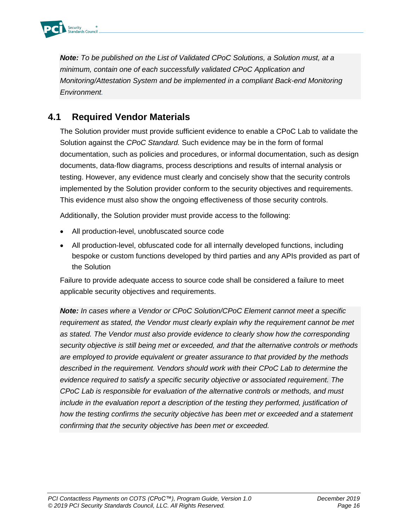

*Note: To be published on the List of Validated CPoC Solutions, a Solution must, at a minimum, contain one of each successfully validated CPoC Application and Monitoring/Attestation System and be implemented in a compliant Back-end Monitoring Environment.*

### <span id="page-18-0"></span>**4.1 Required Vendor Materials**

The Solution provider must provide sufficient evidence to enable a CPoC Lab to validate the Solution against the *CPoC Standard.* Such evidence may be in the form of formal documentation, such as policies and procedures, or informal documentation, such as design documents, data-flow diagrams, process descriptions and results of internal analysis or testing. However, any evidence must clearly and concisely show that the security controls implemented by the Solution provider conform to the security objectives and requirements. This evidence must also show the ongoing effectiveness of those security controls.

Additionally, the Solution provider must provide access to the following:

- All production-level, unobfuscated source code
- All production-level, obfuscated code for all internally developed functions, including bespoke or custom functions developed by third parties and any APIs provided as part of the Solution

Failure to provide adequate access to source code shall be considered a failure to meet applicable security objectives and requirements.

*Note: In cases where a Vendor or CPoC Solution/CPoC Element cannot meet a specific requirement as stated, the Vendor must clearly explain why the requirement cannot be met as stated. The Vendor must also provide evidence to clearly show how the corresponding security objective is still being met or exceeded, and that the alternative controls or methods are employed to provide equivalent or greater assurance to that provided by the methods described in the requirement. Vendors should work with their CPoC Lab to determine the evidence required to satisfy a specific security objective or associated requirement. The CPoC Lab is responsible for evaluation of the alternative controls or methods, and must include in the evaluation report a description of the testing they performed, justification of how the testing confirms the security objective has been met or exceeded and a statement confirming that the security objective has been met or exceeded.*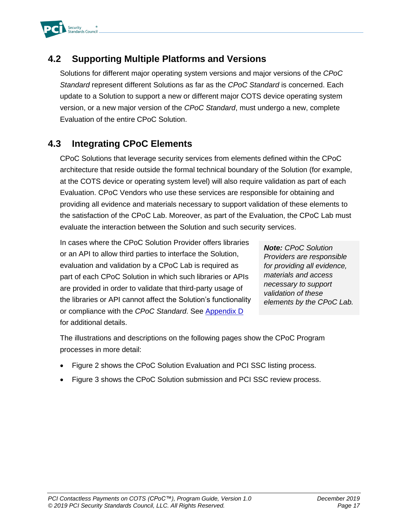

### <span id="page-19-0"></span>**4.2 Supporting Multiple Platforms and Versions**

Solutions for different major operating system versions and major versions of the *CPoC Standard* represent different Solutions as far as the *CPoC Standard* is concerned. Each update to a Solution to support a new or different major COTS device operating system version, or a new major version of the *CPoC Standard*, must undergo a new, complete Evaluation of the entire CPoC Solution.

### <span id="page-19-1"></span>**4.3 Integrating CPoC Elements**

CPoC Solutions that leverage security services from elements defined within the CPoC architecture that reside outside the formal technical boundary of the Solution (for example, at the COTS device or operating system level) will also require validation as part of each Evaluation. CPoC Vendors who use these services are responsible for obtaining and providing all evidence and materials necessary to support validation of these elements to the satisfaction of the CPoC Lab. Moreover, as part of the Evaluation, the CPoC Lab must evaluate the interaction between the Solution and such security services.

In cases where the CPoC Solution Provider offers libraries or an API to allow third parties to interface the Solution, evaluation and validation by a CPoC Lab is required as part of each CPoC Solution in which such libraries or APIs are provided in order to validate that third-party usage of the libraries or API cannot affect the Solution's functionality or compliance with the *CPoC Standard*. See [Appendix D](#page-39-0) for additional details.

*Note: CPoC Solution Providers are responsible for providing all evidence, materials and access necessary to support validation of these elements by the CPoC Lab.*

The illustrations and descriptions on the following pages show the CPoC Program processes in more detail:

- [Figure 2](#page-20-0) shows the CPoC Solution Evaluation and PCI SSC listing process.
- [Figure 3](#page-21-0) shows the CPoC Solution submission and PCI SSC review process.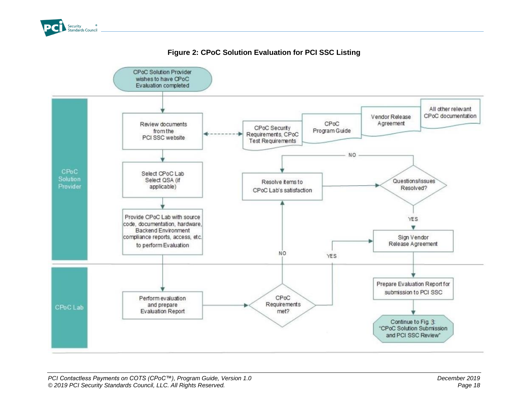

#### **Figure 2: CPoC Solution Evaluation for PCI SSC Listing**

<span id="page-20-0"></span>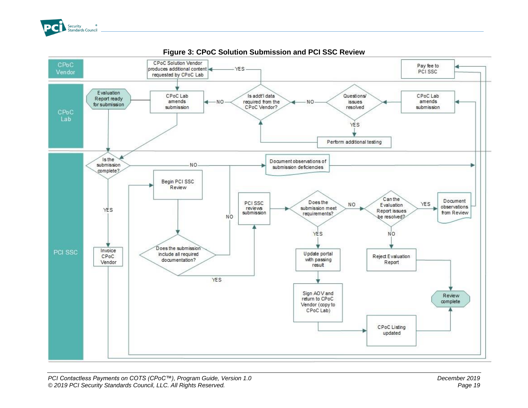

<span id="page-21-0"></span>

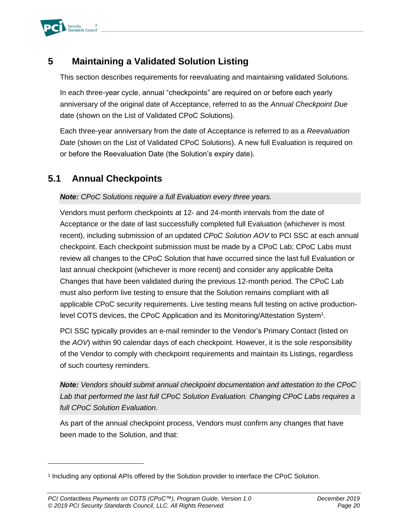

### <span id="page-22-0"></span>**5 Maintaining a Validated Solution Listing**

This section describes requirements for reevaluating and maintaining validated Solutions.

In each three-year cycle, annual "checkpoints" are required on or before each yearly anniversary of the original date of Acceptance, referred to as the *Annual Checkpoint Due* date (shown on the List of Validated CPoC Solutions).

Each three-year anniversary from the date of Acceptance is referred to as a *Reevaluation Date* (shown on the List of Validated CPoC Solutions). A new full Evaluation is required on or before the Reevaluation Date (the Solution's expiry date).

### <span id="page-22-1"></span>**5.1 Annual Checkpoints**

#### *Note: CPoC Solutions require a full Evaluation every three years.*

Vendors must perform checkpoints at 12- and 24-month intervals from the date of Acceptance or the date of last successfully completed full Evaluation (whichever is most recent), including submission of an updated *CPoC Solution AOV* to PCI SSC at each annual checkpoint. Each checkpoint submission must be made by a CPoC Lab; CPoC Labs must review all changes to the CPoC Solution that have occurred since the last full Evaluation or last annual checkpoint (whichever is more recent) and consider any applicable Delta Changes that have been validated during the previous 12-month period. The CPoC Lab must also perform live testing to ensure that the Solution remains compliant with all applicable CPoC security requirements. Live testing means full testing on active productionlevel COTS devices, the CPoC Application and its Monitoring/Attestation System<sup>1</sup>.

PCI SSC typically provides an e-mail reminder to the Vendor's Primary Contact (listed on the *AOV*) within 90 calendar days of each checkpoint. However, it is the sole responsibility of the Vendor to comply with checkpoint requirements and maintain its Listings, regardless of such courtesy reminders.

*Note: Vendors should submit annual checkpoint documentation and attestation to the CPoC Lab that performed the last full CPoC Solution Evaluation. Changing CPoC Labs requires a full CPoC Solution Evaluation.*

As part of the annual checkpoint process, Vendors must confirm any changes that have been made to the Solution, and that:

<sup>1</sup> Including any optional APIs offered by the Solution provider to interface the CPoC Solution.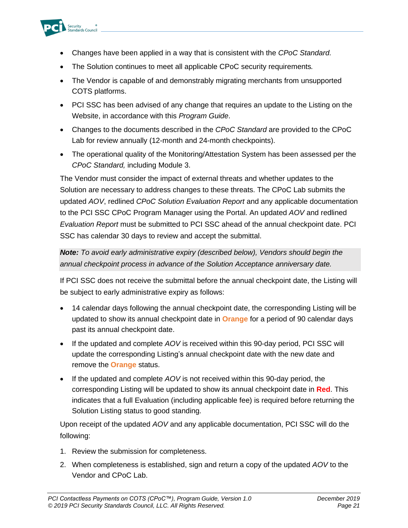

- Changes have been applied in a way that is consistent with the *CPoC Standard.*
- The Solution continues to meet all applicable CPoC security requirements*.*
- The Vendor is capable of and demonstrably migrating merchants from unsupported COTS platforms.
- PCI SSC has been advised of any change that requires an update to the Listing on the Website, in accordance with this *Program Guide*.
- Changes to the documents described in the *CPoC Standard* are provided to the CPoC Lab for review annually (12-month and 24-month checkpoints).
- The operational quality of the Monitoring/Attestation System has been assessed per the *CPoC Standard,* including Module 3.

The Vendor must consider the impact of external threats and whether updates to the Solution are necessary to address changes to these threats. The CPoC Lab submits the updated *AOV*, redlined *CPoC Solution Evaluation Report* and any applicable documentation to the PCI SSC CPoC Program Manager using the Portal. An updated *AOV* and redlined *Evaluation Report* must be submitted to PCI SSC ahead of the annual checkpoint date. PCI SSC has calendar 30 days to review and accept the submittal.

*Note: To avoid early administrative expiry (described below), Vendors should begin the annual checkpoint process in advance of the Solution Acceptance anniversary date.*

If PCI SSC does not receive the submittal before the annual checkpoint date, the Listing will be subject to early administrative expiry as follows:

- 14 calendar days following the annual checkpoint date, the corresponding Listing will be updated to show its annual checkpoint date in **Orange** for a period of 90 calendar days past its annual checkpoint date.
- If the updated and complete *AOV* is received within this 90-day period, PCI SSC will update the corresponding Listing's annual checkpoint date with the new date and remove the **Orange** status.
- If the updated and complete *AOV* is not received within this 90-day period, the corresponding Listing will be updated to show its annual checkpoint date in **Red**. This indicates that a full Evaluation (including applicable fee) is required before returning the Solution Listing status to good standing.

Upon receipt of the updated *AOV* and any applicable documentation, PCI SSC will do the following:

- 1. Review the submission for completeness.
- 2. When completeness is established, sign and return a copy of the updated *AOV* to the Vendor and CPoC Lab.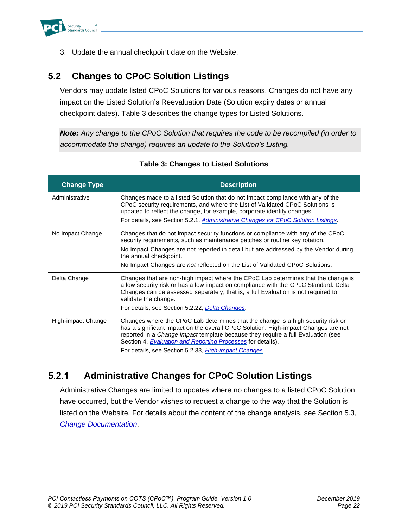<span id="page-24-3"></span>

3. Update the annual checkpoint date on the Website.

### <span id="page-24-0"></span>**5.2 Changes to CPoC Solution Listings**

Vendors may update listed CPoC Solutions for various reasons. Changes do not have any impact on the Listed Solution's Reevaluation Date (Solution expiry dates or annual checkpoint dates). [Table 3](#page-24-1) describes the change types for Listed Solutions.

*Note: Any change to the CPoC Solution that requires the code to be recompiled (in order to accommodate the change) requires an update to the Solution's Listing.*

<span id="page-24-1"></span>

| <b>Change Type</b> | <b>Description</b>                                                                                                                                                                                                                                                                                                                                                                                       |
|--------------------|----------------------------------------------------------------------------------------------------------------------------------------------------------------------------------------------------------------------------------------------------------------------------------------------------------------------------------------------------------------------------------------------------------|
| Administrative     | Changes made to a listed Solution that do not impact compliance with any of the<br>CPoC security requirements, and where the List of Validated CPoC Solutions is<br>updated to reflect the change, for example, corporate identity changes.<br>For details, see Section 5.2.1, Administrative Changes for CPoC Solution Listings.                                                                        |
| No Impact Change   | Changes that do not impact security functions or compliance with any of the CPoC<br>security requirements, such as maintenance patches or routine key rotation.<br>No Impact Changes are not reported in detail but are addressed by the Vendor during<br>the annual checkpoint.<br>No Impact Changes are <i>not</i> reflected on the List of Validated CPoC Solutions.                                  |
|                    |                                                                                                                                                                                                                                                                                                                                                                                                          |
| Delta Change       | Changes that are non-high impact where the CPoC Lab determines that the change is<br>a low security risk or has a low impact on compliance with the CPoC Standard. Delta<br>Changes can be assessed separately; that is, a full Evaluation is not required to<br>validate the change.<br>For details, see Section 5.2.22, Delta Changes.                                                                 |
| High-impact Change | Changes where the CPoC Lab determines that the change is a high security risk or<br>has a significant impact on the overall CPoC Solution. High-impact Changes are not<br>reported in a <i>Change Impact</i> template because they require a full Evaluation (see<br>Section 4, <b>Evaluation and Reporting Processes</b> for details).<br>For details, see Section 5.2.33, <i>High-impact Changes</i> . |

#### **Table 3: Changes to Listed Solutions**

#### <span id="page-24-2"></span> $5.2.1$ **Administrative Changes for CPoC Solution Listings**

Administrative Changes are limited to updates where no changes to a listed CPoC Solution have occurred, but the Vendor wishes to request a change to the way that the Solution is listed on the Website. For details about the content of the change analysis, see Section [5.3,](#page-28-0) *[Change Documentation](#page-28-0)*.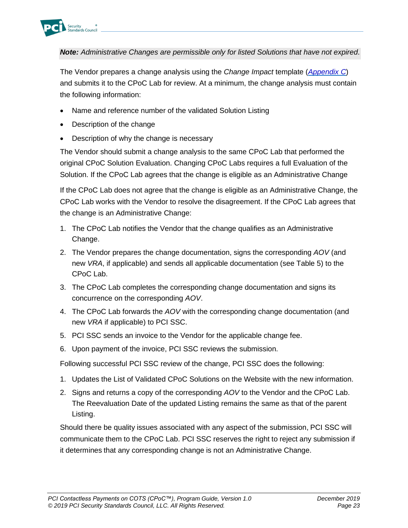

*Note: Administrative Changes are permissible only for listed Solutions that have not expired*.

The Vendor prepares a change analysis using the *Change Impact* template (*[Appendix C](#page-36-0)*) and submits it to the CPoC Lab for review. At a minimum, the change analysis must contain the following information:

- Name and reference number of the validated Solution Listing
- Description of the change
- Description of why the change is necessary

The Vendor should submit a change analysis to the same CPoC Lab that performed the original CPoC Solution Evaluation. Changing CPoC Labs requires a full Evaluation of the Solution. If the CPoC Lab agrees that the change is eligible as an Administrative Change

If the CPoC Lab does not agree that the change is eligible as an Administrative Change, the CPoC Lab works with the Vendor to resolve the disagreement. If the CPoC Lab agrees that the change is an Administrative Change:

- 1. The CPoC Lab notifies the Vendor that the change qualifies as an Administrative Change.
- 2. The Vendor prepares the change documentation, signs the corresponding *AOV* (and new *VRA*, if applicable) and sends all applicable documentation (see Table 5) to the CPoC Lab.
- 3. The CPoC Lab completes the corresponding change documentation and signs its concurrence on the corresponding *AOV*.
- 4. The CPoC Lab forwards the *AOV* with the corresponding change documentation (and new *VRA* if applicable) to PCI SSC.
- 5. PCI SSC sends an invoice to the Vendor for the applicable change fee.
- 6. Upon payment of the invoice, PCI SSC reviews the submission.

Following successful PCI SSC review of the change, PCI SSC does the following:

- 1. Updates the List of Validated CPoC Solutions on the Website with the new information.
- 2. Signs and returns a copy of the corresponding *AOV* to the Vendor and the CPoC Lab. The Reevaluation Date of the updated Listing remains the same as that of the parent Listing.

Should there be quality issues associated with any aspect of the submission, PCI SSC will communicate them to the CPoC Lab. PCI SSC reserves the right to reject any submission if it determines that any corresponding change is not an Administrative Change.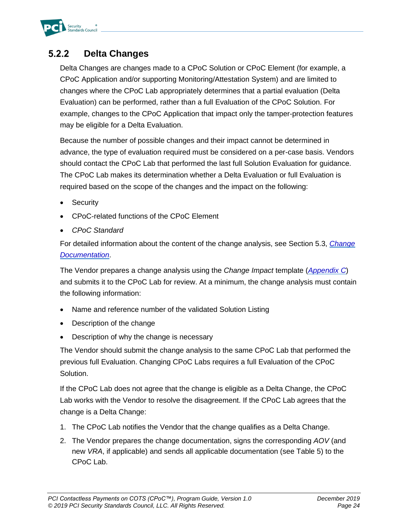

#### <span id="page-26-0"></span>**Delta Changes**  $5.2.2$

Delta Changes are changes made to a CPoC Solution or CPoC Element (for example, a CPoC Application and/or supporting Monitoring/Attestation System) and are limited to changes where the CPoC Lab appropriately determines that a partial evaluation (Delta Evaluation) can be performed, rather than a full Evaluation of the CPoC Solution. For example, changes to the CPoC Application that impact only the tamper-protection features may be eligible for a Delta Evaluation.

Because the number of possible changes and their impact cannot be determined in advance, the type of evaluation required must be considered on a per-case basis. Vendors should contact the CPoC Lab that performed the last full Solution Evaluation for guidance. The CPoC Lab makes its determination whether a Delta Evaluation or full Evaluation is required based on the scope of the changes and the impact on the following:

- **Security**
- CPoC-related functions of the CPoC Element
- *CPoC Standard*

For detailed information about the content of the change analysis, see Section [5.3,](#page-28-0) *[Change](#page-28-0)  [Documentation](#page-28-0)*.

The Vendor prepares a change analysis using the *Change Impact* template (*[Appendix C](#page-36-0)*) and submits it to the CPoC Lab for review. At a minimum, the change analysis must contain the following information:

- Name and reference number of the validated Solution Listing
- Description of the change
- Description of why the change is necessary

The Vendor should submit the change analysis to the same CPoC Lab that performed the previous full Evaluation. Changing CPoC Labs requires a full Evaluation of the CPoC Solution.

If the CPoC Lab does not agree that the change is eligible as a Delta Change, the CPoC Lab works with the Vendor to resolve the disagreement. If the CPoC Lab agrees that the change is a Delta Change:

- 1. The CPoC Lab notifies the Vendor that the change qualifies as a Delta Change.
- 2. The Vendor prepares the change documentation, signs the corresponding *AOV* (and new *VRA*, if applicable) and sends all applicable documentation (see Table 5) to the CPoC Lab.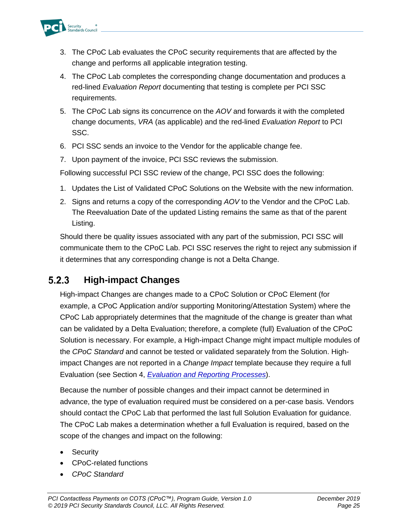

- 3. The CPoC Lab evaluates the CPoC security requirements that are affected by the change and performs all applicable integration testing.
- 4. The CPoC Lab completes the corresponding change documentation and produces a red-lined *Evaluation Report* documenting that testing is complete per PCI SSC requirements.
- 5. The CPoC Lab signs its concurrence on the *AOV* and forwards it with the completed change documents, *VRA* (as applicable) and the red-lined *Evaluation Report* to PCI SSC.
- 6. PCI SSC sends an invoice to the Vendor for the applicable change fee.
- 7. Upon payment of the invoice, PCI SSC reviews the submission.

Following successful PCI SSC review of the change, PCI SSC does the following:

- 1. Updates the List of Validated CPoC Solutions on the Website with the new information.
- 2. Signs and returns a copy of the corresponding *AOV* to the Vendor and the CPoC Lab. The Reevaluation Date of the updated Listing remains the same as that of the parent Listing.

Should there be quality issues associated with any part of the submission, PCI SSC will communicate them to the CPoC Lab. PCI SSC reserves the right to reject any submission if it determines that any corresponding change is not a Delta Change.

#### <span id="page-27-0"></span> $5.2.3$ **High-impact Changes**

High-impact Changes are changes made to a CPoC Solution or CPoC Element (for example, a CPoC Application and/or supporting Monitoring/Attestation System) where the CPoC Lab appropriately determines that the magnitude of the change is greater than what can be validated by a Delta Evaluation; therefore, a complete (full) Evaluation of the CPoC Solution is necessary. For example, a High-impact Change might impact multiple modules of the *CPoC Standard* and cannot be tested or validated separately from the Solution. Highimpact Changes are not reported in a *Change Impact* template because they require a full Evaluation (see Section [4,](#page-17-0) *[Evaluation and Reporting Processes](#page-17-0)*).

Because the number of possible changes and their impact cannot be determined in advance, the type of evaluation required must be considered on a per-case basis. Vendors should contact the CPoC Lab that performed the last full Solution Evaluation for guidance. The CPoC Lab makes a determination whether a full Evaluation is required, based on the scope of the changes and impact on the following:

- **Security**
- CPoC-related functions
- *CPoC Standard*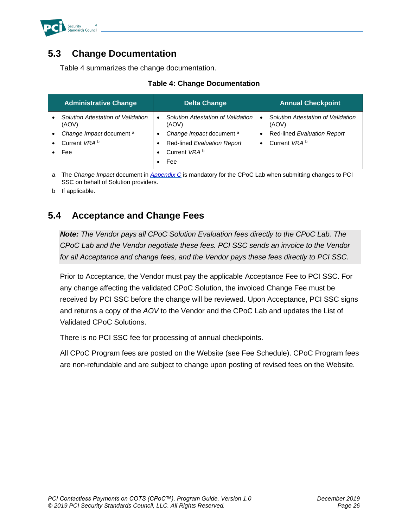

#### <span id="page-28-0"></span>**5.3 Change Documentation**

[Table 4](#page-28-2) summarizes the change documentation.

|  |  |  | <b>Table 4: Change Documentation</b> |
|--|--|--|--------------------------------------|
|--|--|--|--------------------------------------|

<span id="page-28-2"></span>

|           | <b>Administrative Change</b>                |           | <b>Delta Change</b>                         | <b>Annual Checkpoint</b>                    |
|-----------|---------------------------------------------|-----------|---------------------------------------------|---------------------------------------------|
|           | Solution Attestation of Validation<br>(AOV) | $\bullet$ | Solution Attestation of Validation<br>(AOV) | Solution Attestation of Validation<br>(AOV) |
|           | Change Impact document a                    | ٠         | Change Impact document a                    | Red-lined Evaluation Report                 |
| $\bullet$ | Current VRA <sup>b</sup>                    | $\bullet$ | Red-lined Evaluation Report                 | Current VRA <sup>b</sup>                    |
|           | Fee                                         |           | Current VRA <sup>b</sup>                    |                                             |
|           |                                             |           | Fee                                         |                                             |

a The *Change Impact* document in *[Appendix C](#page-36-0)* is mandatory for the CPoC Lab when submitting changes to PCI SSC on behalf of Solution providers.

b If applicable.

### <span id="page-28-1"></span>**5.4 Acceptance and Change Fees**

*Note: The Vendor pays all CPoC Solution Evaluation fees directly to the CPoC Lab. The CPoC Lab and the Vendor negotiate these fees. PCI SSC sends an invoice to the Vendor for all Acceptance and change fees, and the Vendor pays these fees directly to PCI SSC.* 

Prior to Acceptance, the Vendor must pay the applicable Acceptance Fee to PCI SSC. For any change affecting the validated CPoC Solution, the invoiced Change Fee must be received by PCI SSC before the change will be reviewed. Upon Acceptance, PCI SSC signs and returns a copy of the *AOV* to the Vendor and the CPoC Lab and updates the List of Validated CPoC Solutions.

There is no PCI SSC fee for processing of annual checkpoints.

All CPoC Program fees are posted on the Website (see Fee Schedule). CPoC Program fees are non-refundable and are subject to change upon posting of revised fees on the Website.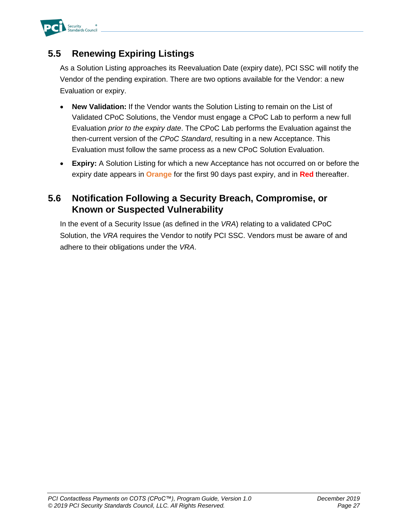

### <span id="page-29-0"></span>**5.5 Renewing Expiring Listings**

As a Solution Listing approaches its Reevaluation Date (expiry date), PCI SSC will notify the Vendor of the pending expiration. There are two options available for the Vendor: a new Evaluation or expiry.

- **New Validation:** If the Vendor wants the Solution Listing to remain on the List of Validated CPoC Solutions, the Vendor must engage a CPoC Lab to perform a new full Evaluation *prior to the expiry date*. The CPoC Lab performs the Evaluation against the then-current version of the *CPoC Standard*, resulting in a new Acceptance. This Evaluation must follow the same process as a new CPoC Solution Evaluation.
- **Expiry:** A Solution Listing for which a new Acceptance has not occurred on or before the expiry date appears in **Orange** for the first 90 days past expiry, and in **Red** thereafter.

### <span id="page-29-1"></span>**5.6 Notification Following a Security Breach, Compromise, or Known or Suspected Vulnerability**

In the event of a Security Issue (as defined in the *VRA*) relating to a validated CPoC Solution, the *VRA* requires the Vendor to notify PCI SSC. Vendors must be aware of and adhere to their obligations under the *VRA*.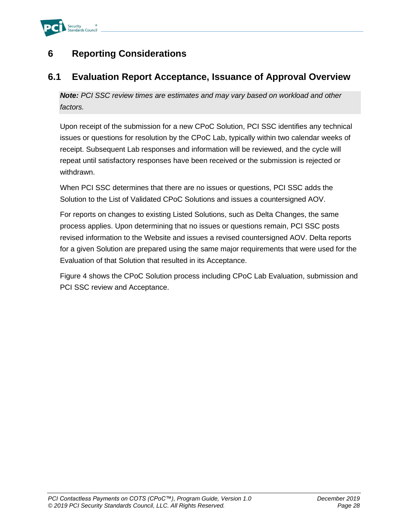

### <span id="page-30-0"></span>**6 Reporting Considerations**

#### <span id="page-30-1"></span>**6.1 Evaluation Report Acceptance, Issuance of Approval Overview**

*Note: PCI SSC review times are estimates and may vary based on workload and other factors.*

Upon receipt of the submission for a new CPoC Solution, PCI SSC identifies any technical issues or questions for resolution by the CPoC Lab, typically within two calendar weeks of receipt. Subsequent Lab responses and information will be reviewed, and the cycle will repeat until satisfactory responses have been received or the submission is rejected or withdrawn.

When PCI SSC determines that there are no issues or questions, PCI SSC adds the Solution to the List of Validated CPoC Solutions and issues a countersigned AOV.

For reports on changes to existing Listed Solutions, such as Delta Changes, the same process applies. Upon determining that no issues or questions remain, PCI SSC posts revised information to the Website and issues a revised countersigned AOV. Delta reports for a given Solution are prepared using the same major requirements that were used for the Evaluation of that Solution that resulted in its Acceptance.

[Figure 4](#page-31-0) shows the CPoC Solution process including CPoC Lab Evaluation, submission and PCI SSC review and Acceptance.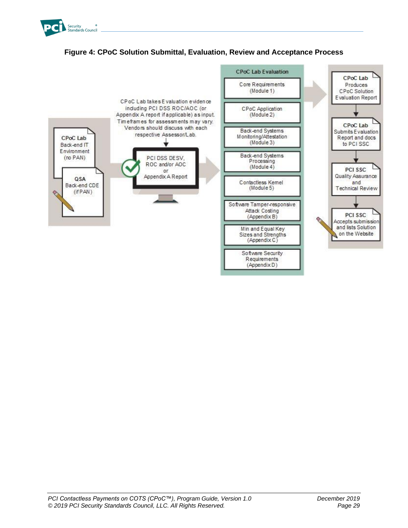

#### **Figure 4: CPoC Solution Submittal, Evaluation, Review and Acceptance Process**

<span id="page-31-0"></span>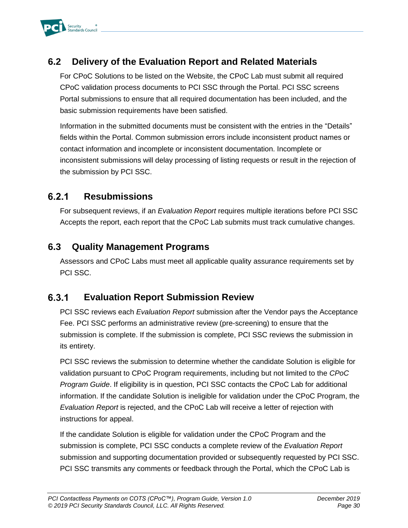

### <span id="page-32-0"></span>**6.2 Delivery of the Evaluation Report and Related Materials**

For CPoC Solutions to be listed on the Website, the CPoC Lab must submit all required CPoC validation process documents to PCI SSC through the Portal. PCI SSC screens Portal submissions to ensure that all required documentation has been included, and the basic submission requirements have been satisfied.

Information in the submitted documents must be consistent with the entries in the "Details" fields within the Portal. Common submission errors include inconsistent product names or contact information and incomplete or inconsistent documentation. Incomplete or inconsistent submissions will delay processing of listing requests or result in the rejection of the submission by PCI SSC.

#### $6.2.1$ **Resubmissions**

For subsequent reviews, if an *Evaluation Report* requires multiple iterations before PCI SSC Accepts the report, each report that the CPoC Lab submits must track cumulative changes.

#### <span id="page-32-1"></span>**6.3 Quality Management Programs**

Assessors and CPoC Labs must meet all applicable quality assurance requirements set by PCI SSC.

#### $6.3.1$ **Evaluation Report Submission Review**

PCI SSC reviews each *Evaluation Report* submission after the Vendor pays the Acceptance Fee. PCI SSC performs an administrative review (pre-screening) to ensure that the submission is complete. If the submission is complete, PCI SSC reviews the submission in its entirety.

PCI SSC reviews the submission to determine whether the candidate Solution is eligible for validation pursuant to CPoC Program requirements, including but not limited to the *CPoC Program Guide*. If eligibility is in question, PCI SSC contacts the CPoC Lab for additional information. If the candidate Solution is ineligible for validation under the CPoC Program, the *Evaluation Report* is rejected, and the CPoC Lab will receive a letter of rejection with instructions for appeal.

If the candidate Solution is eligible for validation under the CPoC Program and the submission is complete, PCI SSC conducts a complete review of the *Evaluation Report* submission and supporting documentation provided or subsequently requested by PCI SSC. PCI SSC transmits any comments or feedback through the Portal, which the CPoC Lab is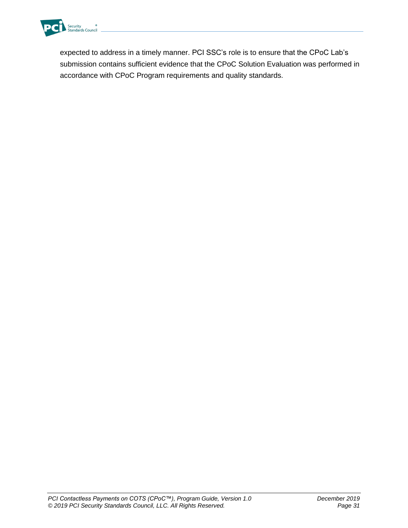

expected to address in a timely manner. PCI SSC's role is to ensure that the CPoC Lab's submission contains sufficient evidence that the CPoC Solution Evaluation was performed in accordance with CPoC Program requirements and quality standards.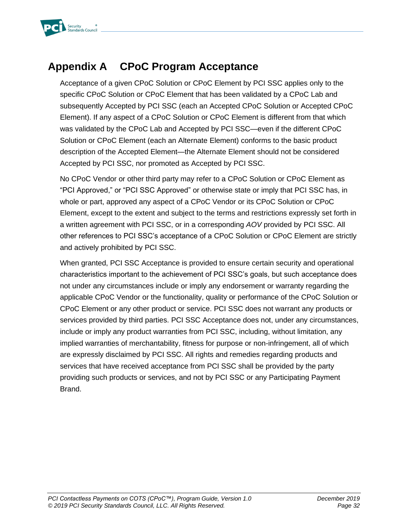

# <span id="page-34-0"></span>**Appendix A CPoC Program Acceptance**

Acceptance of a given CPoC Solution or CPoC Element by PCI SSC applies only to the specific CPoC Solution or CPoC Element that has been validated by a CPoC Lab and subsequently Accepted by PCI SSC (each an Accepted CPoC Solution or Accepted CPoC Element). If any aspect of a CPoC Solution or CPoC Element is different from that which was validated by the CPoC Lab and Accepted by PCI SSC—even if the different CPoC Solution or CPoC Element (each an Alternate Element) conforms to the basic product description of the Accepted Element—the Alternate Element should not be considered Accepted by PCI SSC, nor promoted as Accepted by PCI SSC.

No CPoC Vendor or other third party may refer to a CPoC Solution or CPoC Element as "PCI Approved," or "PCI SSC Approved" or otherwise state or imply that PCI SSC has, in whole or part, approved any aspect of a CPoC Vendor or its CPoC Solution or CPoC Element, except to the extent and subject to the terms and restrictions expressly set forth in a written agreement with PCI SSC, or in a corresponding *AOV* provided by PCI SSC. All other references to PCI SSC's acceptance of a CPoC Solution or CPoC Element are strictly and actively prohibited by PCI SSC.

When granted, PCI SSC Acceptance is provided to ensure certain security and operational characteristics important to the achievement of PCI SSC's goals, but such acceptance does not under any circumstances include or imply any endorsement or warranty regarding the applicable CPoC Vendor or the functionality, quality or performance of the CPoC Solution or CPoC Element or any other product or service. PCI SSC does not warrant any products or services provided by third parties. PCI SSC Acceptance does not, under any circumstances, include or imply any product warranties from PCI SSC, including, without limitation, any implied warranties of merchantability, fitness for purpose or non-infringement, all of which are expressly disclaimed by PCI SSC. All rights and remedies regarding products and services that have received acceptance from PCI SSC shall be provided by the party providing such products or services, and not by PCI SSC or any Participating Payment Brand.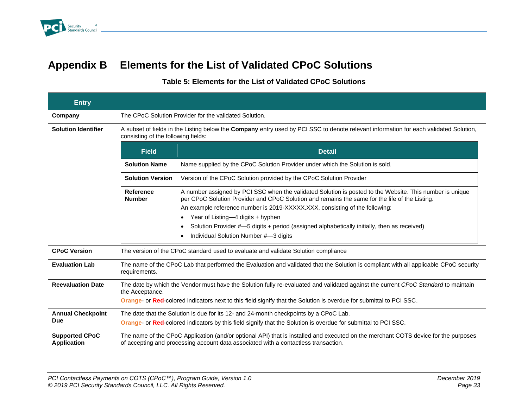

# **Appendix B Elements for the List of Validated CPoC Solutions**

#### **Table 5: Elements for the List of Validated CPoC Solutions**

<span id="page-35-0"></span>

| <b>Entry</b>                                |                                                                                                                                                                              |                                                                                                                                                                                                                                                                                                                                                                                                                                                                        |  |  |  |  |
|---------------------------------------------|------------------------------------------------------------------------------------------------------------------------------------------------------------------------------|------------------------------------------------------------------------------------------------------------------------------------------------------------------------------------------------------------------------------------------------------------------------------------------------------------------------------------------------------------------------------------------------------------------------------------------------------------------------|--|--|--|--|
| Company                                     | The CPoC Solution Provider for the validated Solution.                                                                                                                       |                                                                                                                                                                                                                                                                                                                                                                                                                                                                        |  |  |  |  |
| <b>Solution Identifier</b>                  | A subset of fields in the Listing below the Company entry used by PCI SSC to denote relevant information for each validated Solution,<br>consisting of the following fields: |                                                                                                                                                                                                                                                                                                                                                                                                                                                                        |  |  |  |  |
|                                             | <b>Field</b>                                                                                                                                                                 | <b>Detail</b>                                                                                                                                                                                                                                                                                                                                                                                                                                                          |  |  |  |  |
|                                             | <b>Solution Name</b>                                                                                                                                                         | Name supplied by the CPoC Solution Provider under which the Solution is sold.                                                                                                                                                                                                                                                                                                                                                                                          |  |  |  |  |
|                                             | <b>Solution Version</b>                                                                                                                                                      | Version of the CPoC Solution provided by the CPoC Solution Provider                                                                                                                                                                                                                                                                                                                                                                                                    |  |  |  |  |
|                                             | <b>Reference</b><br><b>Number</b>                                                                                                                                            | A number assigned by PCI SSC when the validated Solution is posted to the Website. This number is unique<br>per CPoC Solution Provider and CPoC Solution and remains the same for the life of the Listing.<br>An example reference number is 2019-XXXXX.XXX, consisting of the following:<br>Year of Listing-4 digits + hyphen<br>Solution Provider #-5 digits + period (assigned alphabetically initially, then as received)<br>Individual Solution Number #-3 digits |  |  |  |  |
| <b>CPoC Version</b>                         |                                                                                                                                                                              | The version of the CPoC standard used to evaluate and validate Solution compliance                                                                                                                                                                                                                                                                                                                                                                                     |  |  |  |  |
| <b>Evaluation Lab</b>                       | requirements.                                                                                                                                                                | The name of the CPoC Lab that performed the Evaluation and validated that the Solution is compliant with all applicable CPoC security                                                                                                                                                                                                                                                                                                                                  |  |  |  |  |
| <b>Reevaluation Date</b>                    | the Acceptance.                                                                                                                                                              | The date by which the Vendor must have the Solution fully re-evaluated and validated against the current CPoC Standard to maintain<br>Orange- or Red-colored indicators next to this field signify that the Solution is overdue for submittal to PCI SSC.                                                                                                                                                                                                              |  |  |  |  |
| <b>Annual Checkpoint</b><br>Due             |                                                                                                                                                                              | The date that the Solution is due for its 12- and 24-month checkpoints by a CPoC Lab.<br>Orange- or Red-colored indicators by this field signify that the Solution is overdue for submittal to PCI SSC.                                                                                                                                                                                                                                                                |  |  |  |  |
| <b>Supported CPoC</b><br><b>Application</b> |                                                                                                                                                                              | The name of the CPoC Application (and/or optional API) that is installed and executed on the merchant COTS device for the purposes<br>of accepting and processing account data associated with a contactless transaction.                                                                                                                                                                                                                                              |  |  |  |  |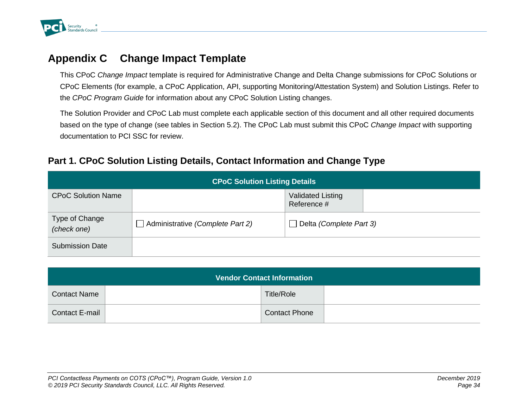

## **Appendix C Change Impact Template**

This CPoC *Change Impact* template is required for Administrative Change and Delta Change submissions for CPoC Solutions or CPoC Elements (for example, a CPoC Application, API, supporting Monitoring/Attestation System) and Solution Listings. Refer to the *CPoC Program Guide* for information about any CPoC Solution Listing changes.

The Solution Provider and CPoC Lab must complete each applicable section of this document and all other required documents based on the type of change (see tables in Section [5.2\)](#page-24-3). The CPoC Lab must submit this CPoC *Change Impact* with supporting documentation to PCI SSC for review.

#### **Part 1. CPoC Solution Listing Details, Contact Information and Change Type**

<span id="page-36-0"></span>

| <b>CPoC Solution Listing Details</b> |                                  |                                         |  |  |  |  |
|--------------------------------------|----------------------------------|-----------------------------------------|--|--|--|--|
| <b>CPoC Solution Name</b>            |                                  | <b>Validated Listing</b><br>Reference # |  |  |  |  |
| Type of Change<br>(check one)        | Administrative (Complete Part 2) | Delta (Complete Part 3)                 |  |  |  |  |
| <b>Submission Date</b>               |                                  |                                         |  |  |  |  |

| <b>Vendor Contact Information</b> |  |                      |  |  |  |
|-----------------------------------|--|----------------------|--|--|--|
| <b>Contact Name</b>               |  | Title/Role           |  |  |  |
| <b>Contact E-mail</b>             |  | <b>Contact Phone</b> |  |  |  |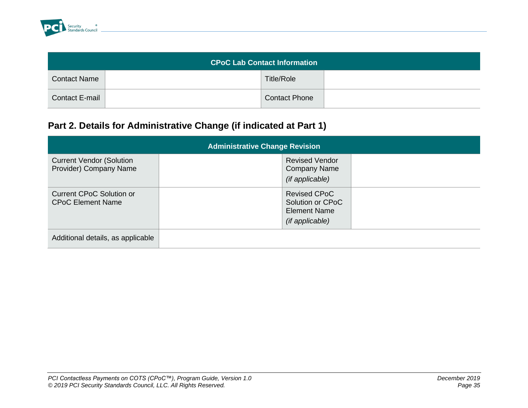

| <b>CPoC Lab Contact Information</b> |  |                      |  |  |
|-------------------------------------|--|----------------------|--|--|
| <b>Contact Name</b>                 |  | <b>Title/Role</b>    |  |  |
| <b>Contact E-mail</b>               |  | <b>Contact Phone</b> |  |  |

## **Part 2. Details for Administrative Change (if indicated at Part 1)**

| <b>Administrative Change Revision</b>                       |                                                                                   |  |  |  |
|-------------------------------------------------------------|-----------------------------------------------------------------------------------|--|--|--|
| <b>Current Vendor (Solution</b><br>Provider) Company Name   | <b>Revised Vendor</b><br><b>Company Name</b><br>(if applicable)                   |  |  |  |
| <b>Current CPoC Solution or</b><br><b>CPoC Element Name</b> | <b>Revised CPoC</b><br>Solution or CPoC<br><b>Element Name</b><br>(if applicable) |  |  |  |
| Additional details, as applicable                           |                                                                                   |  |  |  |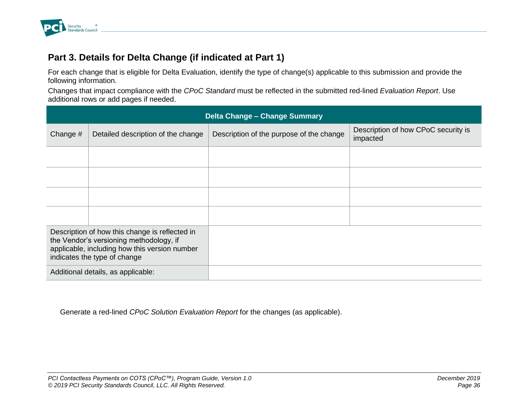

### **Part 3. Details for Delta Change (if indicated at Part 1)**

For each change that is eligible for Delta Evaluation, identify the type of change(s) applicable to this submission and provide the following information.

Changes that impact compliance with the *CPoC Standard* must be reflected in the submitted red-lined *Evaluation Report*. Use additional rows or add pages if needed.

| <b>Delta Change - Change Summary</b>                                                                                                                                       |                                    |                                          |                                                 |  |  |
|----------------------------------------------------------------------------------------------------------------------------------------------------------------------------|------------------------------------|------------------------------------------|-------------------------------------------------|--|--|
| Change $#$                                                                                                                                                                 | Detailed description of the change | Description of the purpose of the change | Description of how CPoC security is<br>impacted |  |  |
|                                                                                                                                                                            |                                    |                                          |                                                 |  |  |
|                                                                                                                                                                            |                                    |                                          |                                                 |  |  |
|                                                                                                                                                                            |                                    |                                          |                                                 |  |  |
|                                                                                                                                                                            |                                    |                                          |                                                 |  |  |
| Description of how this change is reflected in<br>the Vendor's versioning methodology, if<br>applicable, including how this version number<br>indicates the type of change |                                    |                                          |                                                 |  |  |
| Additional details, as applicable:                                                                                                                                         |                                    |                                          |                                                 |  |  |

Generate a red-lined *CPoC Solution Evaluation Report* for the changes (as applicable).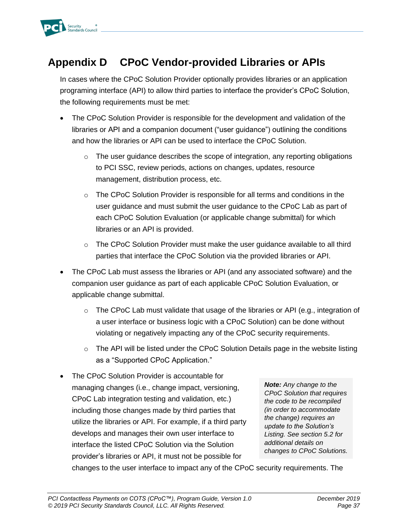

# <span id="page-39-0"></span>**Appendix D CPoC Vendor-provided Libraries or APIs**

In cases where the CPoC Solution Provider optionally provides libraries or an application programing interface (API) to allow third parties to interface the provider's CPoC Solution, the following requirements must be met:

- The CPoC Solution Provider is responsible for the development and validation of the libraries or API and a companion document ("user guidance") outlining the conditions and how the libraries or API can be used to interface the CPoC Solution.
	- $\circ$  The user guidance describes the scope of integration, any reporting obligations to PCI SSC, review periods, actions on changes, updates, resource management, distribution process, etc.
	- o The CPoC Solution Provider is responsible for all terms and conditions in the user guidance and must submit the user guidance to the CPoC Lab as part of each CPoC Solution Evaluation (or applicable change submittal) for which libraries or an API is provided.
	- $\circ$  The CPoC Solution Provider must make the user guidance available to all third parties that interface the CPoC Solution via the provided libraries or API.
- The CPoC Lab must assess the libraries or API (and any associated software) and the companion user guidance as part of each applicable CPoC Solution Evaluation, or applicable change submittal.
	- $\circ$  The CPoC Lab must validate that usage of the libraries or API (e.g., integration of a user interface or business logic with a CPoC Solution) can be done without violating or negatively impacting any of the CPoC security requirements.
	- o The API will be listed under the CPoC Solution Details page in the website listing as a "Supported CPoC Application."
- The CPoC Solution Provider is accountable for managing changes (i.e., change impact, versioning, CPoC Lab integration testing and validation, etc.) including those changes made by third parties that utilize the libraries or API. For example, if a third party develops and manages their own user interface to interface the listed CPoC Solution via the Solution provider's libraries or API, it must not be possible for

*Note: Any change to the CPoC Solution that requires the code to be recompiled (in order to accommodate the change) requires an update to the Solution's Listing. See section 5.2 for additional details on changes to CPoC Solutions.*

changes to the user interface to impact any of the CPoC security requirements. The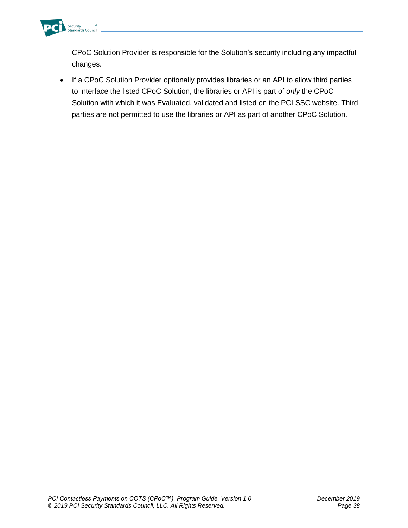

CPoC Solution Provider is responsible for the Solution's security including any impactful changes.

• If a CPoC Solution Provider optionally provides libraries or an API to allow third parties to interface the listed CPoC Solution, the libraries or API is part of *only* the CPoC Solution with which it was Evaluated, validated and listed on the PCI SSC website. Third parties are not permitted to use the libraries or API as part of another CPoC Solution.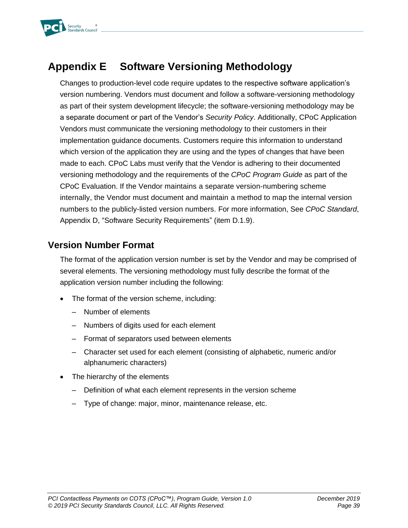# <span id="page-41-0"></span>**Appendix E Software Versioning Methodology**

Changes to production-level code require updates to the respective software application's version numbering. Vendors must document and follow a software-versioning methodology as part of their system development lifecycle; the software-versioning methodology may be a separate document or part of the Vendor's *Security Policy*. Additionally, CPoC Application Vendors must communicate the versioning methodology to their customers in their implementation guidance documents. Customers require this information to understand which version of the application they are using and the types of changes that have been made to each. CPoC Labs must verify that the Vendor is adhering to their documented versioning methodology and the requirements of the *CPoC Program Guide* as part of the CPoC Evaluation. If the Vendor maintains a separate version-numbering scheme internally, the Vendor must document and maintain a method to map the internal version numbers to the publicly-listed version numbers. For more information, See *CPoC Standard*, Appendix D, "Software Security Requirements" (item D.1.9).

#### **Version Number Format**

The format of the application version number is set by the Vendor and may be comprised of several elements. The versioning methodology must fully describe the format of the application version number including the following:

- The format of the version scheme, including:
	- Number of elements
	- Numbers of digits used for each element
	- Format of separators used between elements
	- Character set used for each element (consisting of alphabetic, numeric and/or alphanumeric characters)
- The hierarchy of the elements
	- Definition of what each element represents in the version scheme
	- Type of change: major, minor, maintenance release, etc.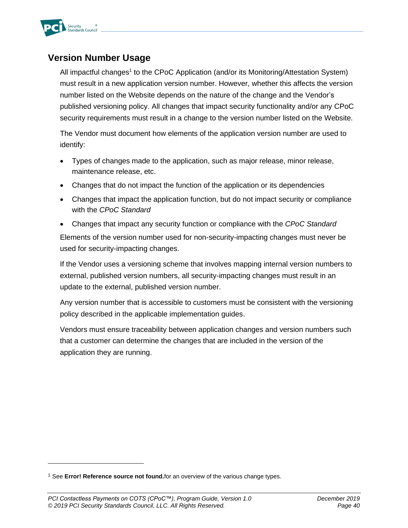

#### **Version Number Usage**

All impactful changes<sup>1</sup> to the CPoC Application (and/or its Monitoring/Attestation System) must result in a new application version number. However, whether this affects the version number listed on the Website depends on the nature of the change and the Vendor's published versioning policy. All changes that impact security functionality and/or any CPoC security requirements must result in a change to the version number listed on the Website.

The Vendor must document how elements of the application version number are used to identify:

- Types of changes made to the application, such as major release, minor release, maintenance release, etc.
- Changes that do not impact the function of the application or its dependencies
- Changes that impact the application function, but do not impact security or compliance with the *CPoC Standard*
- Changes that impact any security function or compliance with the *CPoC Standard* Elements of the version number used for non-security-impacting changes must never be used for security-impacting changes.

If the Vendor uses a versioning scheme that involves mapping internal version numbers to external, published version numbers, all security-impacting changes must result in an update to the external, published version number.

Any version number that is accessible to customers must be consistent with the versioning policy described in the applicable implementation guides.

Vendors must ensure traceability between application changes and version numbers such that a customer can determine the changes that are included in the version of the application they are running.

<sup>1</sup> See **Error! Reference source not found.**for an overview of the various change types.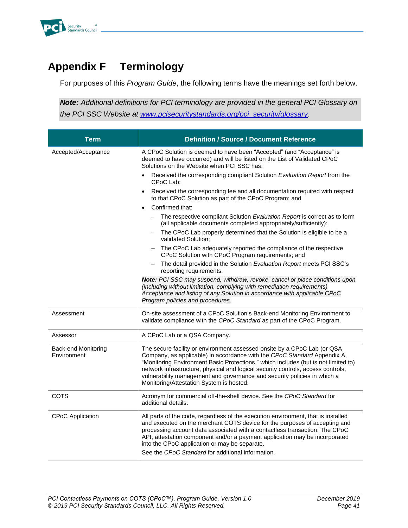

# <span id="page-43-0"></span>**Appendix F Terminology**

For purposes of this *Program Guide*, the following terms have the meanings set forth below.

*Note: Additional definitions for PCI terminology are provided in the general PCI Glossary on the PCI SSC Website at [www.pcisecuritystandards.org/pci\\_security/glossary](https://www.pcisecuritystandards.org/pci_security/glossary)*.

| <b>Term</b>                               | <b>Definition / Source / Document Reference</b>                                                                                                                                                                                                                                                                                                                                                                                                        |
|-------------------------------------------|--------------------------------------------------------------------------------------------------------------------------------------------------------------------------------------------------------------------------------------------------------------------------------------------------------------------------------------------------------------------------------------------------------------------------------------------------------|
| Accepted/Acceptance                       | A CPoC Solution is deemed to have been "Accepted" (and "Acceptance" is<br>deemed to have occurred) and will be listed on the List of Validated CPoC<br>Solutions on the Website when PCI SSC has:                                                                                                                                                                                                                                                      |
|                                           | Received the corresponding compliant Solution Evaluation Report from the<br>$\bullet$<br>CPoC Lab:                                                                                                                                                                                                                                                                                                                                                     |
|                                           | Received the corresponding fee and all documentation required with respect<br>$\bullet$<br>to that CPoC Solution as part of the CPoC Program; and                                                                                                                                                                                                                                                                                                      |
|                                           | Confirmed that:<br>$\bullet$                                                                                                                                                                                                                                                                                                                                                                                                                           |
|                                           | The respective compliant Solution Evaluation Report is correct as to form<br>(all applicable documents completed appropriately/sufficiently);                                                                                                                                                                                                                                                                                                          |
|                                           | The CPoC Lab properly determined that the Solution is eligible to be a<br>validated Solution;                                                                                                                                                                                                                                                                                                                                                          |
|                                           | The CPoC Lab adequately reported the compliance of the respective<br>CPoC Solution with CPoC Program requirements; and                                                                                                                                                                                                                                                                                                                                 |
|                                           | The detail provided in the Solution Evaluation Report meets PCI SSC's<br>reporting requirements.                                                                                                                                                                                                                                                                                                                                                       |
|                                           | Note: PCI SSC may suspend, withdraw, revoke, cancel or place conditions upon<br>(including without limitation, complying with remediation requirements)<br>Acceptance and listing of any Solution in accordance with applicable CPoC<br>Program policies and procedures.                                                                                                                                                                               |
| Assessment                                | On-site assessment of a CPoC Solution's Back-end Monitoring Environment to<br>validate compliance with the CPoC Standard as part of the CPoC Program.                                                                                                                                                                                                                                                                                                  |
| Assessor                                  | A CPoC Lab or a QSA Company.                                                                                                                                                                                                                                                                                                                                                                                                                           |
| <b>Back-end Monitoring</b><br>Environment | The secure facility or environment assessed onsite by a CPoC Lab (or QSA<br>Company, as applicable) in accordance with the CPoC Standard Appendix A,<br>"Monitoring Environment Basic Protections," which includes (but is not limited to)<br>network infrastructure, physical and logical security controls, access controls,<br>vulnerability management and governance and security policies in which a<br>Monitoring/Attestation System is hosted. |
| COTS                                      | Acronym for commercial off-the-shelf device. See the CPoC Standard for<br>additional details.                                                                                                                                                                                                                                                                                                                                                          |
| <b>CPoC Application</b>                   | All parts of the code, regardless of the execution environment, that is installed<br>and executed on the merchant COTS device for the purposes of accepting and<br>processing account data associated with a contactless transaction. The CPoC<br>API, attestation component and/or a payment application may be incorporated<br>into the CPoC application or may be separate.<br>See the CPoC Standard for additional information.                    |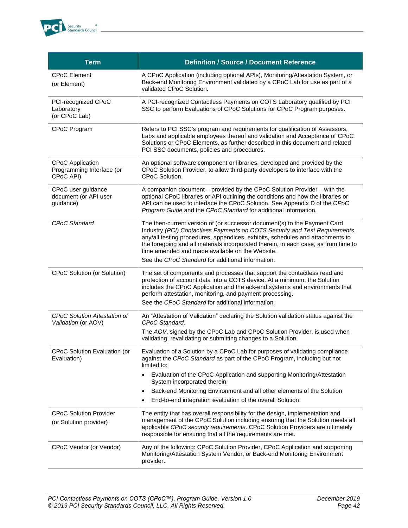

| <b>Term</b>                                                       | <b>Definition / Source / Document Reference</b>                                                                                                                                                                                                                                                                                                                                                                                           |
|-------------------------------------------------------------------|-------------------------------------------------------------------------------------------------------------------------------------------------------------------------------------------------------------------------------------------------------------------------------------------------------------------------------------------------------------------------------------------------------------------------------------------|
| <b>CPoC Element</b><br>(or Element)                               | A CPoC Application (including optional APIs), Monitoring/Attestation System, or<br>Back-end Monitoring Environment validated by a CPoC Lab for use as part of a<br>validated CPoC Solution.                                                                                                                                                                                                                                               |
| PCI-recognized CPoC<br>Laboratory<br>(or CPoC Lab)                | A PCI-recognized Contactless Payments on COTS Laboratory qualified by PCI<br>SSC to perform Evaluations of CPoC Solutions for CPoC Program purposes.                                                                                                                                                                                                                                                                                      |
| CPoC Program                                                      | Refers to PCI SSC's program and requirements for qualification of Assessors,<br>Labs and applicable employees thereof and validation and Acceptance of CPoC<br>Solutions or CPoC Elements, as further described in this document and related<br>PCI SSC documents, policies and procedures.                                                                                                                                               |
| <b>CPoC Application</b><br>Programming Interface (or<br>CPoC API) | An optional software component or libraries, developed and provided by the<br>CPoC Solution Provider, to allow third-party developers to interface with the<br>CPoC Solution.                                                                                                                                                                                                                                                             |
| CPoC user guidance<br>document (or API user<br>guidance)          | A companion document - provided by the CPoC Solution Provider - with the<br>optional CPoC libraries or API outlining the conditions and how the libraries or<br>API can be used to interface the CPoC Solution. See Appendix D of the CPoC<br>Program Guide and the CPoC Standard for additional information.                                                                                                                             |
| CPoC Standard                                                     | The then-current version of (or successor document(s) to the Payment Card<br>Industry (PCI) Contactless Payments on COTS Security and Test Requirements,<br>any/all testing procedures, appendices, exhibits, schedules and attachments to<br>the foregoing and all materials incorporated therein, in each case, as from time to<br>time amended and made available on the Website.<br>See the CPoC Standard for additional information. |
| CPoC Solution (or Solution)                                       | The set of components and processes that support the contactless read and<br>protection of account data into a COTS device. At a minimum, the Solution<br>includes the CPoC Application and the ack-end systems and environments that<br>perform attestation, monitoring, and payment processing.<br>See the CPoC Standard for additional information.                                                                                    |
| <b>CPoC Solution Attestation of</b><br>Validation (or AOV)        | An "Attestation of Validation" declaring the Solution validation status against the<br>CPoC Standard.<br>The AOV, signed by the CPoC Lab and CPoC Solution Provider, is used when<br>validating, revalidating or submitting changes to a Solution.                                                                                                                                                                                        |
| CPoC Solution Evaluation (or<br>Evaluation)                       | Evaluation of a Solution by a CPoC Lab for purposes of validating compliance<br>against the CPoC Standard as part of the CPoC Program, including but not<br>limited to:                                                                                                                                                                                                                                                                   |
|                                                                   | Evaluation of the CPoC Application and supporting Monitoring/Attestation<br>$\bullet$<br>System incorporated therein                                                                                                                                                                                                                                                                                                                      |
|                                                                   | Back-end Monitoring Environment and all other elements of the Solution<br>٠<br>End-to-end integration evaluation of the overall Solution                                                                                                                                                                                                                                                                                                  |
| <b>CPoC Solution Provider</b><br>(or Solution provider)           | The entity that has overall responsibility for the design, implementation and<br>management of the CPoC Solution including ensuring that the Solution meets all<br>applicable CPoC security requirements. CPoC Solution Providers are ultimately<br>responsible for ensuring that all the requirements are met.                                                                                                                           |
| CPoC Vendor (or Vendor)                                           | Any of the following: CPoC Solution Provider, CPoC Application and supporting<br>Monitoring/Attestation System Vendor, or Back-end Monitoring Environment<br>provider.                                                                                                                                                                                                                                                                    |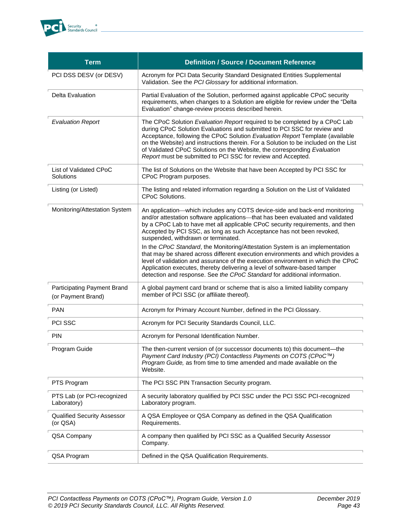

| <b>Term</b>                                       | <b>Definition / Source / Document Reference</b>                                                                                                                                                                                                                                                                                                                                                                                                                            |
|---------------------------------------------------|----------------------------------------------------------------------------------------------------------------------------------------------------------------------------------------------------------------------------------------------------------------------------------------------------------------------------------------------------------------------------------------------------------------------------------------------------------------------------|
| PCI DSS DESV (or DESV)                            | Acronym for PCI Data Security Standard Designated Entities Supplemental<br>Validation. See the PCI Glossary for additional information.                                                                                                                                                                                                                                                                                                                                    |
| Delta Evaluation                                  | Partial Evaluation of the Solution, performed against applicable CPoC security<br>requirements, when changes to a Solution are eligible for review under the "Delta<br>Evaluation" change-review process described herein.                                                                                                                                                                                                                                                 |
| <b>Evaluation Report</b>                          | The CPoC Solution Evaluation Report required to be completed by a CPoC Lab<br>during CPoC Solution Evaluations and submitted to PCI SSC for review and<br>Acceptance, following the CPoC Solution Evaluation Report Template (available<br>on the Website) and instructions therein. For a Solution to be included on the List<br>of Validated CPoC Solutions on the Website, the corresponding Evaluation<br>Report must be submitted to PCI SSC for review and Accepted. |
| List of Validated CPoC<br>Solutions               | The list of Solutions on the Website that have been Accepted by PCI SSC for<br>CPoC Program purposes.                                                                                                                                                                                                                                                                                                                                                                      |
| Listing (or Listed)                               | The listing and related information regarding a Solution on the List of Validated<br>CPoC Solutions.                                                                                                                                                                                                                                                                                                                                                                       |
| Monitoring/Attestation System                     | An application—which includes any COTS device-side and back-end monitoring<br>and/or attestation software applications-that has been evaluated and validated<br>by a CPoC Lab to have met all applicable CPoC security requirements, and then<br>Accepted by PCI SSC, as long as such Acceptance has not been revoked,<br>suspended, withdrawn or terminated.                                                                                                              |
|                                                   | In the CPoC Standard, the Monitoring/Attestation System is an implementation<br>that may be shared across different execution environments and which provides a<br>level of validation and assurance of the execution environment in which the CPoC<br>Application executes, thereby delivering a level of software-based tamper<br>detection and response. See the CPoC Standard for additional information.                                                              |
| Participating Payment Brand<br>(or Payment Brand) | A global payment card brand or scheme that is also a limited liability company<br>member of PCI SSC (or affiliate thereof).                                                                                                                                                                                                                                                                                                                                                |
| <b>PAN</b>                                        | Acronym for Primary Account Number, defined in the PCI Glossary.                                                                                                                                                                                                                                                                                                                                                                                                           |
| PCI SSC                                           | Acronym for PCI Security Standards Council, LLC.                                                                                                                                                                                                                                                                                                                                                                                                                           |
| PIN                                               | Acronym for Personal Identification Number.                                                                                                                                                                                                                                                                                                                                                                                                                                |
| Program Guide                                     | The then-current version of (or successor documents to) this document-the<br>Payment Card Industry (PCI) Contactless Payments on COTS (CPoC™)<br>Program Guide, as from time to time amended and made available on the<br>Website.                                                                                                                                                                                                                                         |
| PTS Program                                       | The PCI SSC PIN Transaction Security program.                                                                                                                                                                                                                                                                                                                                                                                                                              |
| PTS Lab (or PCI-recognized<br>Laboratory)         | A security laboratory qualified by PCI SSC under the PCI SSC PCI-recognized<br>Laboratory program.                                                                                                                                                                                                                                                                                                                                                                         |
| <b>Qualified Security Assessor</b><br>(or QSA)    | A QSA Employee or QSA Company as defined in the QSA Qualification<br>Requirements.                                                                                                                                                                                                                                                                                                                                                                                         |
| QSA Company                                       | A company then qualified by PCI SSC as a Qualified Security Assessor<br>Company.                                                                                                                                                                                                                                                                                                                                                                                           |
| QSA Program                                       | Defined in the QSA Qualification Requirements.                                                                                                                                                                                                                                                                                                                                                                                                                             |